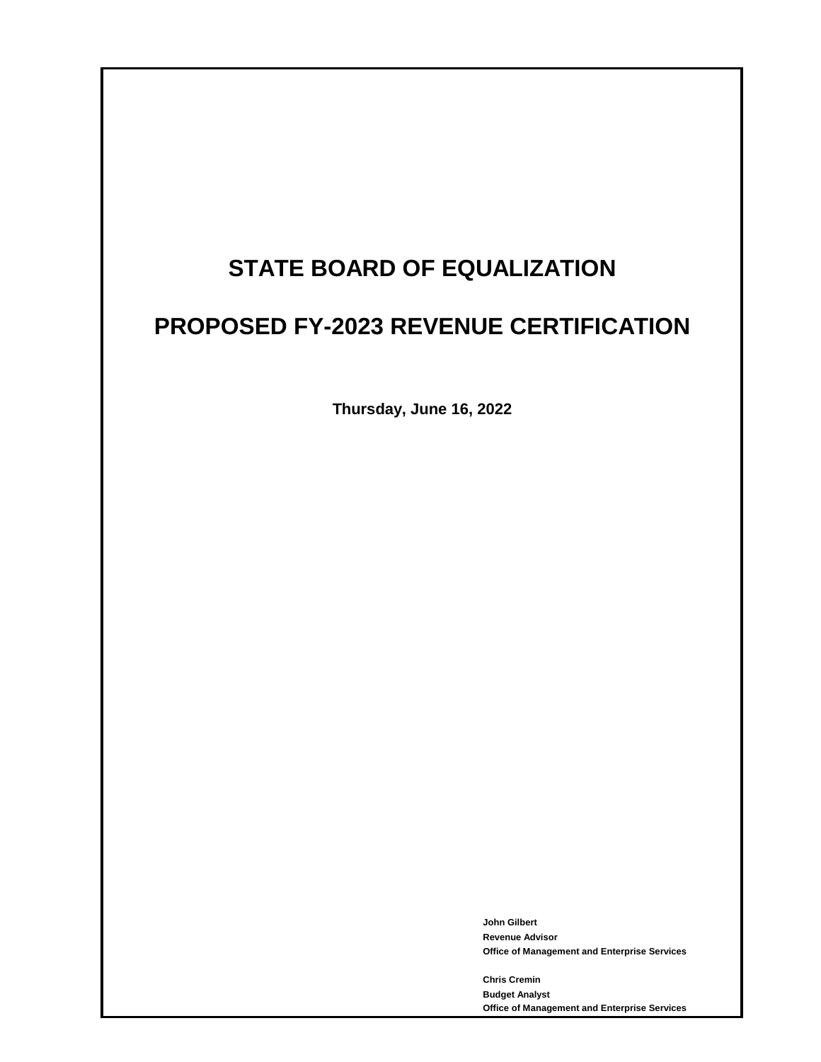# **STATE BOARD OF EQUALIZATION**

# **PROPOSED FY-2023 REVENUE CERTIFICATION**

**Thursday, June 16, 2022**

**John Gilbert Revenue Advisor Office of Management and Enterprise Services**

**Chris Cremin Budget Analyst Office of Management and Enterprise Services**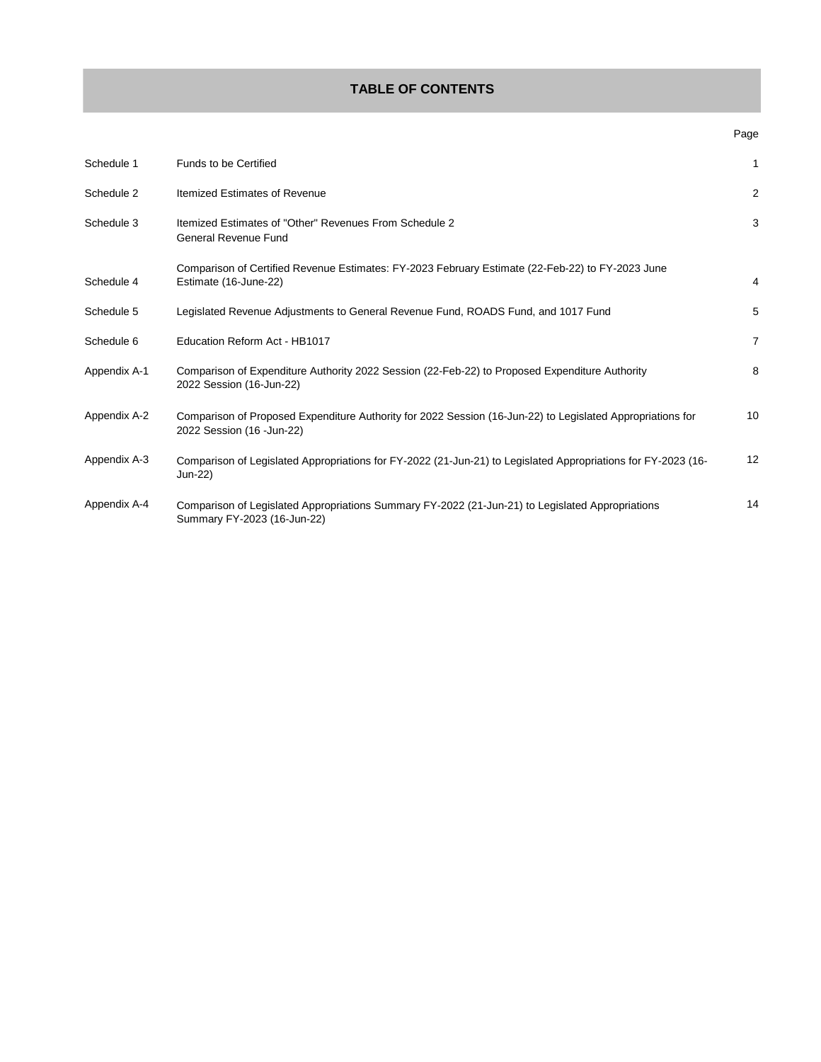## **TABLE OF CONTENTS**

|              |                                                                                                                                          | ∽⊎∽            |
|--------------|------------------------------------------------------------------------------------------------------------------------------------------|----------------|
| Schedule 1   | Funds to be Certified                                                                                                                    | 1              |
| Schedule 2   | Itemized Estimates of Revenue                                                                                                            | $\overline{2}$ |
| Schedule 3   | Itemized Estimates of "Other" Revenues From Schedule 2<br><b>General Revenue Fund</b>                                                    | 3              |
| Schedule 4   | Comparison of Certified Revenue Estimates: FY-2023 February Estimate (22-Feb-22) to FY-2023 June<br>Estimate (16-June-22)                | $\overline{4}$ |
| Schedule 5   | Legislated Revenue Adjustments to General Revenue Fund, ROADS Fund, and 1017 Fund                                                        | 5              |
| Schedule 6   | Education Reform Act - HB1017                                                                                                            | $\overline{7}$ |
| Appendix A-1 | Comparison of Expenditure Authority 2022 Session (22-Feb-22) to Proposed Expenditure Authority<br>2022 Session (16-Jun-22)               | 8              |
| Appendix A-2 | Comparison of Proposed Expenditure Authority for 2022 Session (16-Jun-22) to Legislated Appropriations for<br>2022 Session (16 - Jun-22) | 10             |
| Appendix A-3 | Comparison of Legislated Appropriations for FY-2022 (21-Jun-21) to Legislated Appropriations for FY-2023 (16-<br>Jun-22)                 | 12             |
| Appendix A-4 | Comparison of Legislated Appropriations Summary FY-2022 (21-Jun-21) to Legislated Appropriations<br>Summary FY-2023 (16-Jun-22)          | 14             |

#### Page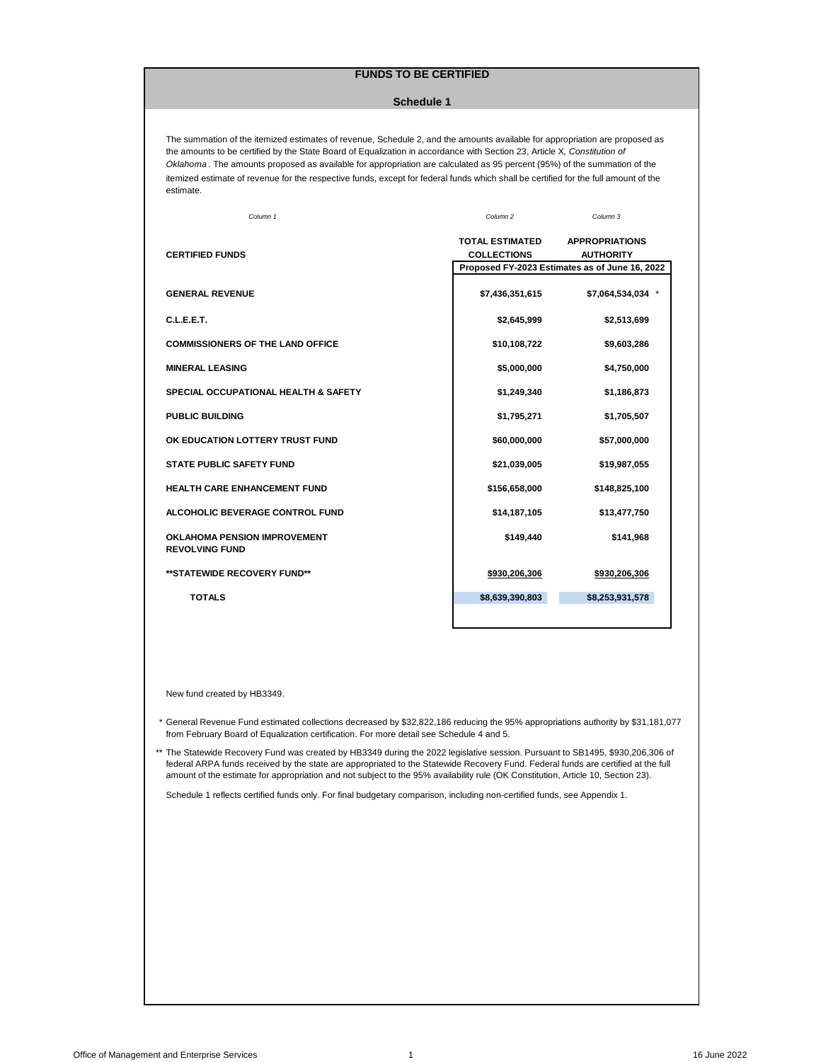## **FUNDS TO BE CERTIFIED**

#### **Schedule 1**

<span id="page-2-0"></span>The summation of the itemized estimates of revenue, Schedule 2, and the amounts available for appropriation are proposed as the amounts to be certified by the State Board of Equalization in accordance with Section 23, Article X, *Constitution of Oklahoma* . The amounts proposed as available for appropriation are calculated as 95 percent (95%) of the summation of the itemized estimate of revenue for the respective funds, except for federal funds which shall be certified for the full amount of the estimate.

| Column 1                                                     | Column <sub>2</sub>                          | Column 3                                                                                    |
|--------------------------------------------------------------|----------------------------------------------|---------------------------------------------------------------------------------------------|
| <b>CERTIFIED FUNDS</b>                                       | <b>TOTAL ESTIMATED</b><br><b>COLLECTIONS</b> | <b>APPROPRIATIONS</b><br><b>AUTHORITY</b><br>Proposed FY-2023 Estimates as of June 16, 2022 |
| <b>GENERAL REVENUE</b>                                       | \$7,436,351,615                              | \$7,064,534,034 *                                                                           |
| C.L.E.E.T.                                                   | \$2,645,999                                  | \$2,513,699                                                                                 |
| <b>COMMISSIONERS OF THE LAND OFFICE</b>                      | \$10,108,722                                 | \$9,603,286                                                                                 |
| <b>MINERAL LEASING</b>                                       | \$5,000,000                                  | \$4,750,000                                                                                 |
| <b>SPECIAL OCCUPATIONAL HEALTH &amp; SAFETY</b>              | \$1,249,340                                  | \$1,186,873                                                                                 |
| <b>PUBLIC BUILDING</b>                                       | \$1,795,271                                  | \$1,705,507                                                                                 |
| OK EDUCATION LOTTERY TRUST FUND                              | \$60,000,000                                 | \$57,000,000                                                                                |
| <b>STATE PUBLIC SAFETY FUND</b>                              | \$21,039,005                                 | \$19,987,055                                                                                |
| <b>HEALTH CARE ENHANCEMENT FUND</b>                          | \$156,658,000                                | \$148,825,100                                                                               |
| ALCOHOLIC BEVERAGE CONTROL FUND                              | \$14,187,105                                 | \$13,477,750                                                                                |
| <b>OKLAHOMA PENSION IMPROVEMENT</b><br><b>REVOLVING FUND</b> | \$149,440                                    | \$141,968                                                                                   |
| **STATEWIDE RECOVERY FUND**                                  | \$930,206,306                                | \$930,206,306                                                                               |
| <b>TOTALS</b>                                                | \$8,639,390,803                              | \$8,253,931,578                                                                             |
|                                                              |                                              |                                                                                             |

New fund created by HB3349.

- \* General Revenue Fund estimated collections decreased by \$32,822,186 reducing the 95% appropriations authority by \$31,181,077 from February Board of Equalization certification. For more detail see Schedule 4 and 5.
- \*\* The Statewide Recovery Fund was created by HB3349 during the 2022 legislative session. Pursuant to SB1495, \$930,206,306 of federal ARPA funds received by the state are appropriated to the Statewide Recovery Fund. Federal funds are certified at the full amount of the estimate for appropriation and not subject to the 95% availability rule (OK Constitution, Article 10, Section 23).

Schedule 1 reflects certified funds only. For final budgetary comparison, including non-certified funds, see Appendix 1.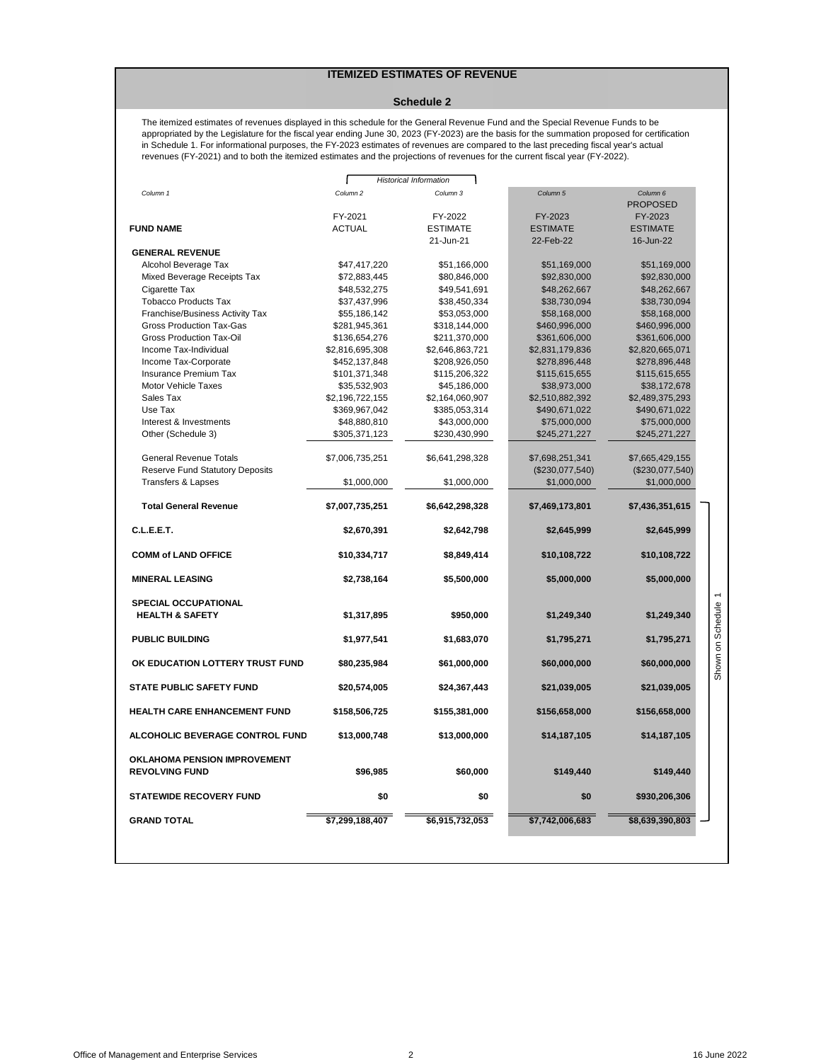## **ITEMIZED ESTIMATES OF REVENUE**

#### **Schedule 2**

<span id="page-3-0"></span>The itemized estimates of revenues displayed in this schedule for the General Revenue Fund and the Special Revenue Funds to be appropriated by the Legislature for the fiscal year ending June 30, 2023 (FY-2023) are the basis for the summation proposed for certification in Schedule 1. For informational purposes, the FY-2023 estimates of revenues are compared to the last preceding fiscal year's actual revenues (FY-2021) and to both the itemized estimates and the projections of revenues for the current fiscal year (FY-2022).

| Column 3<br>FY-2022<br><b>ESTIMATE</b><br>21-Jun-21<br>\$47,417,220<br>\$51,166,000<br>\$72,883,445<br>\$80,846,000<br>\$48,532,275<br>\$49,541,691<br>\$37,437,996<br>\$38,450,334<br>\$55,186,142<br>\$53,053,000<br>\$281,945,361<br>\$318,144,000<br>\$211,370,000<br>\$136,654,276<br>\$2,816,695,308<br>\$2,646,863,721<br>\$452,137,848<br>\$208,926,050<br>\$101,371,348<br>\$115,206,322<br>\$35,532,903<br>\$45,186,000<br>\$2,196,722,155<br>\$2,164,060,907<br>\$369,967,042<br>\$385,053,314<br>\$48,880,810<br>\$43,000,000<br>\$305,371,123<br>\$230,430,990<br>\$7,006,735,251<br>\$6,641,298,328<br>\$1,000,000<br>\$1,000,000 | Column 5<br>FY-2023<br><b>ESTIMATE</b><br>22-Feb-22<br>\$51,169,000<br>\$92,830,000<br>\$48,262,667<br>\$38,730,094<br>\$58,168,000<br>\$460,996,000<br>\$361,606,000<br>\$2,831,179,836<br>\$278,896,448<br>\$115,615,655<br>\$38,973,000<br>\$2,510,882,392<br>\$490,671,022<br>\$75,000,000<br>\$245,271,227<br>\$7,698,251,341<br>$(\$230,077,540)$<br>\$1,000,000 | Column 6<br><b>PROPOSED</b><br>FY-2023<br><b>ESTIMATE</b><br>16-Jun-22<br>\$51,169,000<br>\$92,830,000<br>\$48,262,667<br>\$38,730,094<br>\$58,168,000<br>\$460,996,000<br>\$361,606,000<br>\$2,820,665,071<br>\$278,896,448<br>\$115,615,655<br>\$38,172,678<br>\$2,489,375,293<br>\$490,671,022<br>\$75,000,000<br>\$245,271,227<br>\$7,665,429,155<br>(\$230,077,540)<br>\$1,000,000 |                             |
|-------------------------------------------------------------------------------------------------------------------------------------------------------------------------------------------------------------------------------------------------------------------------------------------------------------------------------------------------------------------------------------------------------------------------------------------------------------------------------------------------------------------------------------------------------------------------------------------------------------------------------------------------|------------------------------------------------------------------------------------------------------------------------------------------------------------------------------------------------------------------------------------------------------------------------------------------------------------------------------------------------------------------------|-----------------------------------------------------------------------------------------------------------------------------------------------------------------------------------------------------------------------------------------------------------------------------------------------------------------------------------------------------------------------------------------|-----------------------------|
|                                                                                                                                                                                                                                                                                                                                                                                                                                                                                                                                                                                                                                                 |                                                                                                                                                                                                                                                                                                                                                                        |                                                                                                                                                                                                                                                                                                                                                                                         |                             |
|                                                                                                                                                                                                                                                                                                                                                                                                                                                                                                                                                                                                                                                 |                                                                                                                                                                                                                                                                                                                                                                        |                                                                                                                                                                                                                                                                                                                                                                                         |                             |
|                                                                                                                                                                                                                                                                                                                                                                                                                                                                                                                                                                                                                                                 |                                                                                                                                                                                                                                                                                                                                                                        |                                                                                                                                                                                                                                                                                                                                                                                         |                             |
|                                                                                                                                                                                                                                                                                                                                                                                                                                                                                                                                                                                                                                                 |                                                                                                                                                                                                                                                                                                                                                                        |                                                                                                                                                                                                                                                                                                                                                                                         |                             |
|                                                                                                                                                                                                                                                                                                                                                                                                                                                                                                                                                                                                                                                 |                                                                                                                                                                                                                                                                                                                                                                        |                                                                                                                                                                                                                                                                                                                                                                                         |                             |
|                                                                                                                                                                                                                                                                                                                                                                                                                                                                                                                                                                                                                                                 |                                                                                                                                                                                                                                                                                                                                                                        |                                                                                                                                                                                                                                                                                                                                                                                         |                             |
|                                                                                                                                                                                                                                                                                                                                                                                                                                                                                                                                                                                                                                                 |                                                                                                                                                                                                                                                                                                                                                                        |                                                                                                                                                                                                                                                                                                                                                                                         |                             |
|                                                                                                                                                                                                                                                                                                                                                                                                                                                                                                                                                                                                                                                 |                                                                                                                                                                                                                                                                                                                                                                        |                                                                                                                                                                                                                                                                                                                                                                                         |                             |
|                                                                                                                                                                                                                                                                                                                                                                                                                                                                                                                                                                                                                                                 |                                                                                                                                                                                                                                                                                                                                                                        |                                                                                                                                                                                                                                                                                                                                                                                         |                             |
|                                                                                                                                                                                                                                                                                                                                                                                                                                                                                                                                                                                                                                                 |                                                                                                                                                                                                                                                                                                                                                                        |                                                                                                                                                                                                                                                                                                                                                                                         |                             |
|                                                                                                                                                                                                                                                                                                                                                                                                                                                                                                                                                                                                                                                 |                                                                                                                                                                                                                                                                                                                                                                        |                                                                                                                                                                                                                                                                                                                                                                                         |                             |
|                                                                                                                                                                                                                                                                                                                                                                                                                                                                                                                                                                                                                                                 |                                                                                                                                                                                                                                                                                                                                                                        |                                                                                                                                                                                                                                                                                                                                                                                         |                             |
|                                                                                                                                                                                                                                                                                                                                                                                                                                                                                                                                                                                                                                                 |                                                                                                                                                                                                                                                                                                                                                                        |                                                                                                                                                                                                                                                                                                                                                                                         |                             |
|                                                                                                                                                                                                                                                                                                                                                                                                                                                                                                                                                                                                                                                 |                                                                                                                                                                                                                                                                                                                                                                        |                                                                                                                                                                                                                                                                                                                                                                                         |                             |
|                                                                                                                                                                                                                                                                                                                                                                                                                                                                                                                                                                                                                                                 |                                                                                                                                                                                                                                                                                                                                                                        |                                                                                                                                                                                                                                                                                                                                                                                         |                             |
|                                                                                                                                                                                                                                                                                                                                                                                                                                                                                                                                                                                                                                                 |                                                                                                                                                                                                                                                                                                                                                                        |                                                                                                                                                                                                                                                                                                                                                                                         |                             |
|                                                                                                                                                                                                                                                                                                                                                                                                                                                                                                                                                                                                                                                 |                                                                                                                                                                                                                                                                                                                                                                        |                                                                                                                                                                                                                                                                                                                                                                                         |                             |
|                                                                                                                                                                                                                                                                                                                                                                                                                                                                                                                                                                                                                                                 |                                                                                                                                                                                                                                                                                                                                                                        |                                                                                                                                                                                                                                                                                                                                                                                         |                             |
|                                                                                                                                                                                                                                                                                                                                                                                                                                                                                                                                                                                                                                                 |                                                                                                                                                                                                                                                                                                                                                                        |                                                                                                                                                                                                                                                                                                                                                                                         |                             |
|                                                                                                                                                                                                                                                                                                                                                                                                                                                                                                                                                                                                                                                 |                                                                                                                                                                                                                                                                                                                                                                        |                                                                                                                                                                                                                                                                                                                                                                                         |                             |
|                                                                                                                                                                                                                                                                                                                                                                                                                                                                                                                                                                                                                                                 |                                                                                                                                                                                                                                                                                                                                                                        |                                                                                                                                                                                                                                                                                                                                                                                         |                             |
|                                                                                                                                                                                                                                                                                                                                                                                                                                                                                                                                                                                                                                                 |                                                                                                                                                                                                                                                                                                                                                                        |                                                                                                                                                                                                                                                                                                                                                                                         |                             |
|                                                                                                                                                                                                                                                                                                                                                                                                                                                                                                                                                                                                                                                 |                                                                                                                                                                                                                                                                                                                                                                        |                                                                                                                                                                                                                                                                                                                                                                                         |                             |
|                                                                                                                                                                                                                                                                                                                                                                                                                                                                                                                                                                                                                                                 |                                                                                                                                                                                                                                                                                                                                                                        |                                                                                                                                                                                                                                                                                                                                                                                         |                             |
|                                                                                                                                                                                                                                                                                                                                                                                                                                                                                                                                                                                                                                                 | \$7,469,173,801                                                                                                                                                                                                                                                                                                                                                        | \$7,436,351,615                                                                                                                                                                                                                                                                                                                                                                         |                             |
| \$2,642,798                                                                                                                                                                                                                                                                                                                                                                                                                                                                                                                                                                                                                                     | \$2,645,999                                                                                                                                                                                                                                                                                                                                                            | \$2,645,999                                                                                                                                                                                                                                                                                                                                                                             |                             |
| \$8,849,414                                                                                                                                                                                                                                                                                                                                                                                                                                                                                                                                                                                                                                     | \$10,108,722                                                                                                                                                                                                                                                                                                                                                           | \$10,108,722                                                                                                                                                                                                                                                                                                                                                                            |                             |
| \$5,500,000                                                                                                                                                                                                                                                                                                                                                                                                                                                                                                                                                                                                                                     | \$5,000,000                                                                                                                                                                                                                                                                                                                                                            | \$5,000,000                                                                                                                                                                                                                                                                                                                                                                             |                             |
|                                                                                                                                                                                                                                                                                                                                                                                                                                                                                                                                                                                                                                                 |                                                                                                                                                                                                                                                                                                                                                                        |                                                                                                                                                                                                                                                                                                                                                                                         | $\overline{ }$              |
| \$950,000                                                                                                                                                                                                                                                                                                                                                                                                                                                                                                                                                                                                                                       | \$1,249,340                                                                                                                                                                                                                                                                                                                                                            | \$1,249,340                                                                                                                                                                                                                                                                                                                                                                             | own on Schedule             |
|                                                                                                                                                                                                                                                                                                                                                                                                                                                                                                                                                                                                                                                 |                                                                                                                                                                                                                                                                                                                                                                        |                                                                                                                                                                                                                                                                                                                                                                                         |                             |
|                                                                                                                                                                                                                                                                                                                                                                                                                                                                                                                                                                                                                                                 |                                                                                                                                                                                                                                                                                                                                                                        |                                                                                                                                                                                                                                                                                                                                                                                         |                             |
| \$61,000,000                                                                                                                                                                                                                                                                                                                                                                                                                                                                                                                                                                                                                                    | \$60,000,000                                                                                                                                                                                                                                                                                                                                                           | \$60,000,000                                                                                                                                                                                                                                                                                                                                                                            |                             |
| \$24,367,443                                                                                                                                                                                                                                                                                                                                                                                                                                                                                                                                                                                                                                    | \$21,039,005                                                                                                                                                                                                                                                                                                                                                           | \$21,039,005                                                                                                                                                                                                                                                                                                                                                                            | န                           |
| \$155,381,000                                                                                                                                                                                                                                                                                                                                                                                                                                                                                                                                                                                                                                   | \$156,658,000                                                                                                                                                                                                                                                                                                                                                          | \$156,658,000                                                                                                                                                                                                                                                                                                                                                                           |                             |
|                                                                                                                                                                                                                                                                                                                                                                                                                                                                                                                                                                                                                                                 |                                                                                                                                                                                                                                                                                                                                                                        |                                                                                                                                                                                                                                                                                                                                                                                         |                             |
|                                                                                                                                                                                                                                                                                                                                                                                                                                                                                                                                                                                                                                                 |                                                                                                                                                                                                                                                                                                                                                                        |                                                                                                                                                                                                                                                                                                                                                                                         |                             |
| \$60,000                                                                                                                                                                                                                                                                                                                                                                                                                                                                                                                                                                                                                                        | \$149,440                                                                                                                                                                                                                                                                                                                                                              | \$149,440                                                                                                                                                                                                                                                                                                                                                                               |                             |
| \$0                                                                                                                                                                                                                                                                                                                                                                                                                                                                                                                                                                                                                                             | \$0                                                                                                                                                                                                                                                                                                                                                                    | \$930,206,306                                                                                                                                                                                                                                                                                                                                                                           |                             |
| \$6,915,732,053                                                                                                                                                                                                                                                                                                                                                                                                                                                                                                                                                                                                                                 | \$7,742,006,683                                                                                                                                                                                                                                                                                                                                                        | \$8,639,390,803                                                                                                                                                                                                                                                                                                                                                                         |                             |
|                                                                                                                                                                                                                                                                                                                                                                                                                                                                                                                                                                                                                                                 | \$7,007,735,251<br>\$2,670,391<br>\$10,334,717<br>\$2,738,164<br>\$1,317,895<br>\$1,977,541<br>\$1,683,070<br>\$80,235,984<br>\$20,574,005<br>\$158,506,725<br>\$13,000,748<br>\$96,985<br>\$0<br>\$7,299,188,407                                                                                                                                                      | \$6,642,298,328<br>\$1,795,271<br>\$13,000,000<br>\$14,187,105                                                                                                                                                                                                                                                                                                                          | \$1,795,271<br>\$14,187,105 |

Shown on Schedule 1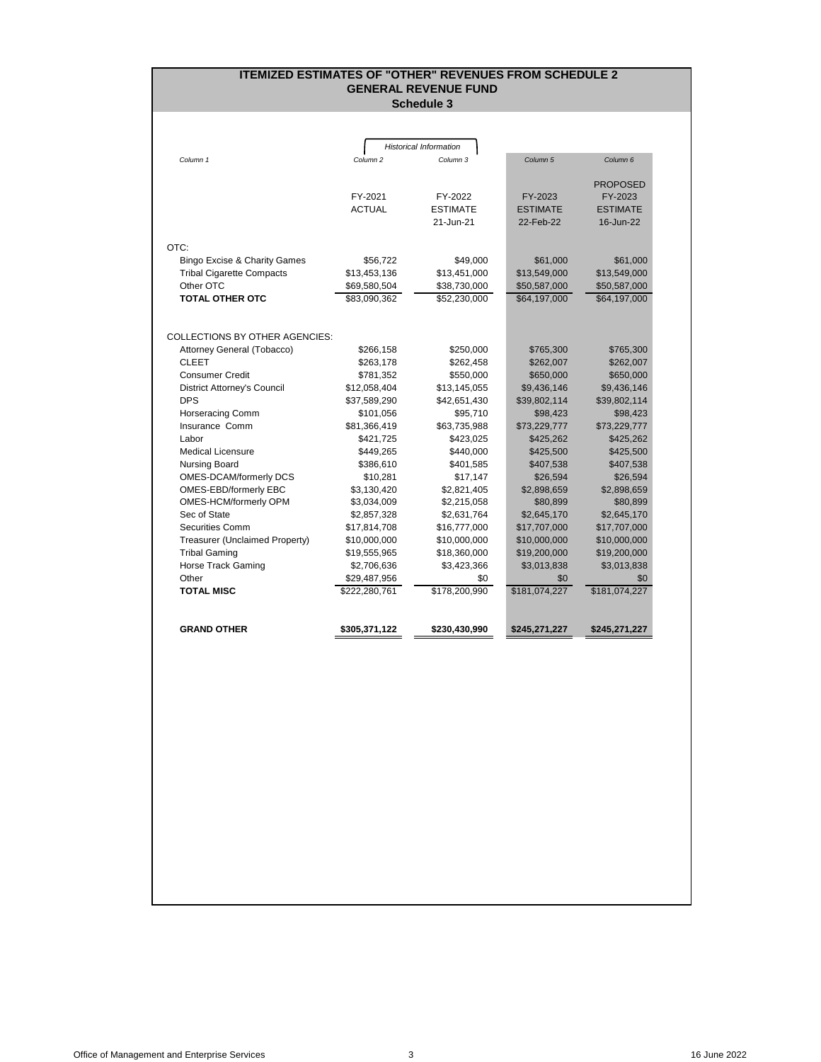# **ITEMIZED ESTIMATES OF "OTHER" REVENUES FROM SCHEDULE 2 GENERAL REVENUE FUND**

**Schedule 3**

<span id="page-4-0"></span>

|                                  |                     | <b>Historical Information</b> |                     |                     |
|----------------------------------|---------------------|-------------------------------|---------------------|---------------------|
| Column 1                         | Column <sub>2</sub> | Column <sub>3</sub>           | Column <sub>5</sub> | Column <sub>6</sub> |
|                                  |                     |                               |                     |                     |
|                                  |                     |                               |                     | <b>PROPOSED</b>     |
|                                  | FY-2021             | FY-2022                       | FY-2023             | FY-2023             |
|                                  | <b>ACTUAL</b>       | <b>ESTIMATE</b>               | <b>ESTIMATE</b>     | <b>ESTIMATE</b>     |
|                                  |                     | 21-Jun-21                     | 22-Feb-22           | 16-Jun-22           |
| OTC:                             |                     |                               |                     |                     |
| Bingo Excise & Charity Games     | \$56,722            | \$49,000                      | \$61,000            | \$61,000            |
| <b>Tribal Cigarette Compacts</b> | \$13,453,136        | \$13,451,000                  | \$13,549,000        | \$13,549,000        |
| Other OTC                        | \$69,580,504        | \$38,730,000                  | \$50,587,000        | \$50,587,000        |
| <b>TOTAL OTHER OTC</b>           | \$83,090,362        | \$52,230,000                  | \$64,197,000        | \$64,197,000        |
|                                  |                     |                               |                     |                     |
|                                  |                     |                               |                     |                     |
| COLLECTIONS BY OTHER AGENCIES:   |                     |                               |                     |                     |
| Attorney General (Tobacco)       | \$266,158           | \$250,000                     | \$765,300           | \$765,300           |
| <b>CLEET</b>                     | \$263,178           | \$262,458                     | \$262,007           | \$262,007           |
| <b>Consumer Credit</b>           | \$781,352           | \$550,000                     | \$650,000           | \$650,000           |
| District Attorney's Council      | \$12,058,404        | \$13,145,055                  | \$9,436,146         | \$9,436,146         |
| <b>DPS</b>                       | \$37,589,290        | \$42,651,430                  | \$39,802,114        | \$39,802,114        |
| <b>Horseracing Comm</b>          | \$101,056           | \$95,710                      | \$98,423            | \$98,423            |
| Insurance Comm                   | \$81,366,419        | \$63,735,988                  | \$73,229,777        | \$73,229,777        |
| Labor                            | \$421,725           | \$423,025                     | \$425,262           | \$425,262           |
| <b>Medical Licensure</b>         | \$449,265           | \$440,000                     | \$425,500           | \$425,500           |
| Nursing Board                    | \$386,610           | \$401,585                     | \$407,538           | \$407,538           |
| <b>OMES-DCAM/formerly DCS</b>    | \$10,281            | \$17,147                      | \$26,594            | \$26,594            |
| OMES-EBD/formerly EBC            | \$3,130,420         | \$2,821,405                   | \$2,898,659         | \$2,898,659         |
| OMES-HCM/formerly OPM            | \$3,034,009         | \$2,215,058                   | \$80,899            | \$80,899            |
| Sec of State                     | \$2,857,328         | \$2,631,764                   | \$2,645,170         | \$2,645,170         |
| Securities Comm                  | \$17,814,708        | \$16,777,000                  | \$17,707,000        | \$17,707,000        |
| Treasurer (Unclaimed Property)   | \$10,000,000        | \$10,000,000                  | \$10,000,000        | \$10,000,000        |
| <b>Tribal Gaming</b>             | \$19,555,965        | \$18,360,000                  | \$19,200,000        | \$19,200,000        |
| Horse Track Gaming               | \$2,706,636         | \$3,423,366                   | \$3,013,838         | \$3,013,838         |
| Other                            | \$29,487,956        | \$0                           | \$0                 | \$0                 |
| <b>TOTAL MISC</b>                | \$222,280,761       | \$178,200,990                 | \$181,074,227       | \$181,074,227       |
|                                  |                     |                               |                     |                     |
|                                  |                     |                               |                     |                     |
| <b>GRAND OTHER</b>               | \$305,371,122       | \$230,430,990                 | \$245,271,227       | \$245,271,227       |
|                                  |                     |                               |                     |                     |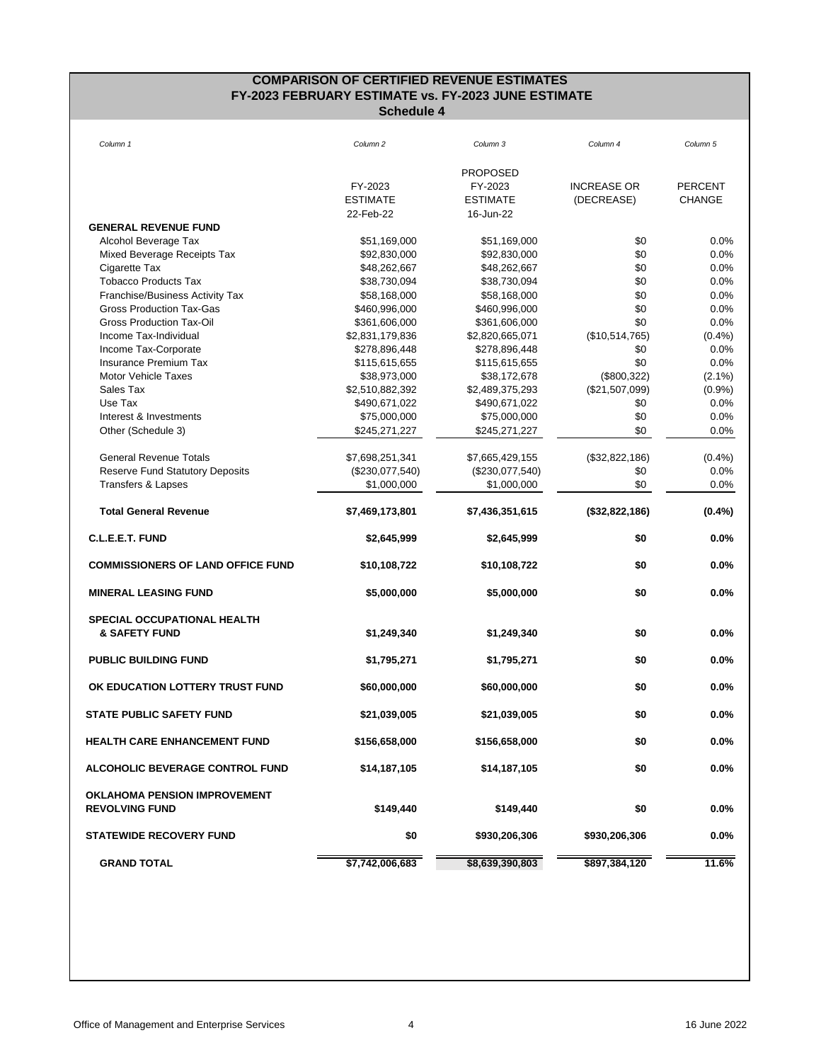### **COMPARISON OF CERTIFIED REVENUE ESTIMATES FY-2023 FEBRUARY ESTIMATE vs. FY-2023 JUNE ESTIMATE Schedule 4**

<span id="page-5-0"></span>

| Column 1                                                     | Column <sub>2</sub> | Column 3                     | Column 4           | Column 5       |
|--------------------------------------------------------------|---------------------|------------------------------|--------------------|----------------|
|                                                              |                     |                              |                    |                |
|                                                              |                     | <b>PROPOSED</b>              |                    |                |
|                                                              | FY-2023             | FY-2023                      | <b>INCREASE OR</b> | <b>PERCENT</b> |
|                                                              | <b>ESTIMATE</b>     | <b>ESTIMATE</b><br>16-Jun-22 | (DECREASE)         | <b>CHANGE</b>  |
| <b>GENERAL REVENUE FUND</b>                                  | 22-Feb-22           |                              |                    |                |
|                                                              | \$51,169,000        | \$51,169,000                 | \$0                | 0.0%           |
| Alcohol Beverage Tax<br>Mixed Beverage Receipts Tax          | \$92,830,000        | \$92,830,000                 | \$0                | 0.0%           |
| Cigarette Tax                                                | \$48,262,667        | \$48,262,667                 | \$0                | 0.0%           |
| <b>Tobacco Products Tax</b>                                  | \$38,730,094        | \$38,730,094                 | \$0                | 0.0%           |
| Franchise/Business Activity Tax                              | \$58,168,000        | \$58,168,000                 | \$0                | 0.0%           |
| <b>Gross Production Tax-Gas</b>                              | \$460,996,000       | \$460,996,000                | \$0                | 0.0%           |
| <b>Gross Production Tax-Oil</b>                              | \$361,606,000       | \$361,606,000                | \$0                | 0.0%           |
| Income Tax-Individual                                        | \$2,831,179,836     | \$2,820,665,071              | (\$10,514,765)     | (0.4%          |
| Income Tax-Corporate                                         | \$278,896,448       | \$278,896,448                | \$0                | 0.0%           |
| <b>Insurance Premium Tax</b>                                 | \$115,615,655       | \$115,615,655                | \$0                | 0.0%           |
| <b>Motor Vehicle Taxes</b>                                   | \$38,973,000        | \$38,172,678                 | (\$800,322)        | $(2.1\%)$      |
| Sales Tax                                                    | \$2,510,882,392     | \$2,489,375,293              | (\$21,507,099)     | (0.9%          |
| Use Tax                                                      | \$490,671,022       | \$490,671,022                | \$0                | 0.0%           |
| Interest & Investments                                       | \$75,000,000        | \$75,000,000                 | \$0                | 0.0%           |
| Other (Schedule 3)                                           | \$245,271,227       | \$245,271,227                | \$0                | 0.0%           |
| <b>General Revenue Totals</b>                                | \$7,698,251,341     | \$7,665,429,155              | (\$32,822,186)     | $(0.4\%)$      |
| <b>Reserve Fund Statutory Deposits</b>                       | $(\$230,077,540)$   | $(\$230,077,540)$            | \$0                | 0.0%           |
| Transfers & Lapses                                           | \$1,000,000         | \$1,000,000                  | \$0                | 0.0%           |
| <b>Total General Revenue</b>                                 | \$7,469,173,801     | \$7,436,351,615              | (\$32,822,186)     | $(0.4\%)$      |
| C.L.E.E.T. FUND                                              | \$2,645,999         | \$2,645,999                  | \$0                | 0.0%           |
| <b>COMMISSIONERS OF LAND OFFICE FUND</b>                     | \$10,108,722        | \$10,108,722                 | \$0                | 0.0%           |
| <b>MINERAL LEASING FUND</b>                                  | \$5,000,000         | \$5,000,000                  | \$0                | 0.0%           |
| <b>SPECIAL OCCUPATIONAL HEALTH</b>                           |                     |                              |                    |                |
| & SAFETY FUND                                                | \$1,249,340         | \$1,249,340                  | \$0                | 0.0%           |
| <b>PUBLIC BUILDING FUND</b>                                  | \$1,795,271         | \$1,795,271                  | \$0                | $0.0\%$        |
| OK EDUCATION LOTTERY TRUST FUND                              | \$60,000,000        | \$60,000,000                 | \$0                | 0.0%           |
| <b>STATE PUBLIC SAFETY FUND</b>                              | \$21,039,005        | \$21,039,005                 | \$0                | 0.0%           |
| <b>HEALTH CARE ENHANCEMENT FUND</b>                          | \$156,658,000       | \$156,658,000                | \$0                | 0.0%           |
| <b>ALCOHOLIC BEVERAGE CONTROL FUND</b>                       | \$14,187,105        | \$14,187,105                 | \$0                | $0.0\%$        |
|                                                              |                     |                              |                    |                |
| <b>OKLAHOMA PENSION IMPROVEMENT</b><br><b>REVOLVING FUND</b> | \$149,440           | \$149,440                    | \$0                | 0.0%           |
| <b>STATEWIDE RECOVERY FUND</b>                               | \$0                 | \$930,206,306                | \$930,206,306      | 0.0%           |
| <b>GRAND TOTAL</b>                                           | \$7,742,006,683     | \$8,639,390,803              | \$897,384,120      | 11.6%          |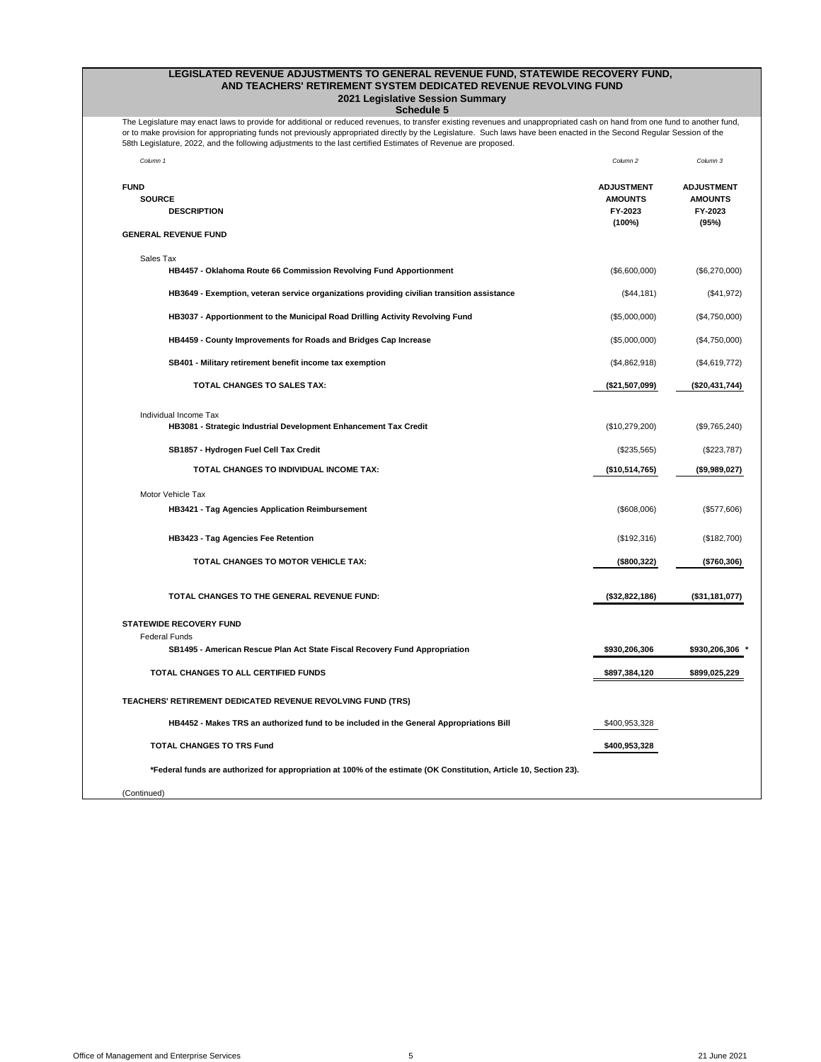### **LEGISLATED REVENUE ADJUSTMENTS TO GENERAL REVENUE FUND, STATEWIDE RECOVERY FUND, 2021 Legislative Session Summary AND TEACHERS' RETIREMENT SYSTEM DEDICATED REVENUE REVOLVING FUND**

**Schedule 5**

<span id="page-6-0"></span>The Legislature may enact laws to provide for additional or reduced revenues, to transfer existing revenues and unappropriated cash on hand from one fund to another fund, or to make provision for appropriating funds not previously appropriated directly by the Legislature. Such laws have been enacted in the Second Regular Session of the 58th Legislature, 2022, and the following adjustments to the last certified Estimates of Revenue are proposed.

| Column 1                                                                                                           | Column 2                                                 | Column 3                                                |
|--------------------------------------------------------------------------------------------------------------------|----------------------------------------------------------|---------------------------------------------------------|
| <b>FUND</b><br><b>SOURCE</b><br><b>DESCRIPTION</b><br><b>GENERAL REVENUE FUND</b>                                  | <b>ADJUSTMENT</b><br><b>AMOUNTS</b><br>FY-2023<br>(100%) | <b>ADJUSTMENT</b><br><b>AMOUNTS</b><br>FY-2023<br>(95%) |
|                                                                                                                    |                                                          |                                                         |
| Sales Tax<br>HB4457 - Oklahoma Route 66 Commission Revolving Fund Apportionment                                    | (\$6,600,000)                                            | (\$6,270,000)                                           |
| HB3649 - Exemption, veteran service organizations providing civilian transition assistance                         | (\$44,181)                                               | (\$41,972)                                              |
| HB3037 - Apportionment to the Municipal Road Drilling Activity Revolving Fund                                      | (\$5,000,000)                                            | (\$4,750,000)                                           |
| HB4459 - County Improvements for Roads and Bridges Cap Increase                                                    | (\$5,000,000)                                            | (\$4,750,000)                                           |
| SB401 - Military retirement benefit income tax exemption                                                           | (\$4,862,918)                                            | (\$4,619,772)                                           |
| <b>TOTAL CHANGES TO SALES TAX:</b>                                                                                 | (\$21,507,099)                                           | (\$20,431,744)                                          |
| Individual Income Tax                                                                                              |                                                          |                                                         |
| HB3081 - Strategic Industrial Development Enhancement Tax Credit                                                   | (\$10,279,200)                                           | (\$9,765,240)                                           |
| SB1857 - Hydrogen Fuel Cell Tax Credit                                                                             | $(\$235,565)$                                            | $(\$223,787)$                                           |
| TOTAL CHANGES TO INDIVIDUAL INCOME TAX:                                                                            | (\$10,514,765)                                           | (\$9,989,027)                                           |
| Motor Vehicle Tax                                                                                                  |                                                          |                                                         |
| <b>HB3421 - Tag Agencies Application Reimbursement</b>                                                             | (\$608,006)                                              | (\$577,606)                                             |
| <b>HB3423 - Tag Agencies Fee Retention</b>                                                                         | (\$192,316)                                              | (\$182,700)                                             |
| <b>TOTAL CHANGES TO MOTOR VEHICLE TAX:</b>                                                                         | (\$800,322)                                              | (\$760,306)                                             |
| <b>TOTAL CHANGES TO THE GENERAL REVENUE FUND:</b>                                                                  | (\$32,822,186)                                           | (\$31,181,077)                                          |
| <b>STATEWIDE RECOVERY FUND</b>                                                                                     |                                                          |                                                         |
| <b>Federal Funds</b><br>SB1495 - American Rescue Plan Act State Fiscal Recovery Fund Appropriation                 | \$930,206,306                                            | \$930,206,306                                           |
| TOTAL CHANGES TO ALL CERTIFIED FUNDS                                                                               | \$897,384,120                                            | \$899,025,229                                           |
| <b>TEACHERS' RETIREMENT DEDICATED REVENUE REVOLVING FUND (TRS)</b>                                                 |                                                          |                                                         |
| HB4452 - Makes TRS an authorized fund to be included in the General Appropriations Bill                            | \$400,953,328                                            |                                                         |
| <b>TOTAL CHANGES TO TRS Fund</b>                                                                                   | \$400,953,328                                            |                                                         |
| *Federal funds are authorized for appropriation at 100% of the estimate (OK Constitution, Article 10, Section 23). |                                                          |                                                         |
| (Continued)                                                                                                        |                                                          |                                                         |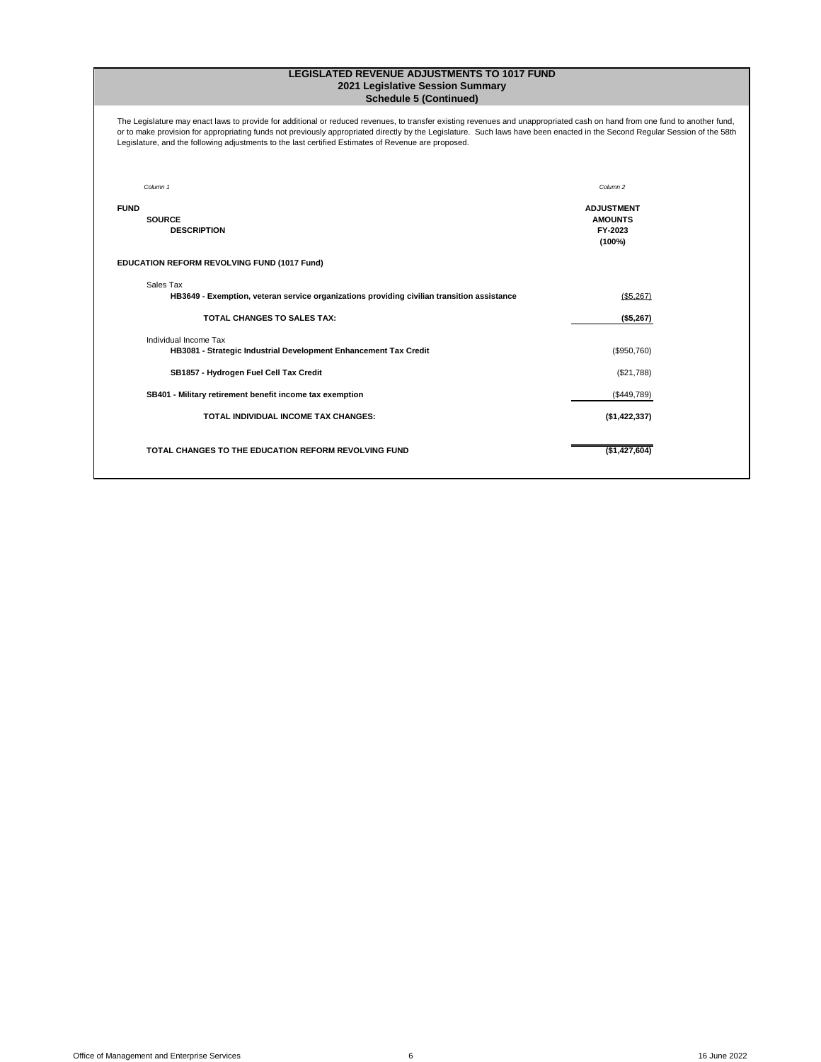#### **LEGISLATED REVENUE ADJUSTMENTS TO 1017 FUND 2021 Legislative Session Summary Schedule 5 (Continued)**

The Legislature may enact laws to provide for additional or reduced revenues, to transfer existing revenues and unappropriated cash on hand from one fund to another fund, or to make provision for appropriating funds not previously appropriated directly by the Legislature. Such laws have been enacted in the Second Regular Session of the 58th Legislature, and the following adjustments to the last certified Estimates of Revenue are proposed.

| Column 1                                                                                                | Column <sub>2</sub>                                      |
|---------------------------------------------------------------------------------------------------------|----------------------------------------------------------|
| <b>FUND</b><br><b>SOURCE</b><br><b>DESCRIPTION</b>                                                      | <b>ADJUSTMENT</b><br><b>AMOUNTS</b><br>FY-2023<br>(100%) |
| <b>EDUCATION REFORM REVOLVING FUND (1017 Fund)</b>                                                      |                                                          |
| Sales Tax<br>HB3649 - Exemption, veteran service organizations providing civilian transition assistance | (\$5,267)                                                |
| <b>TOTAL CHANGES TO SALES TAX:</b>                                                                      | (\$5,267)                                                |
| Individual Income Tax<br>HB3081 - Strategic Industrial Development Enhancement Tax Credit               | (\$950,760)                                              |
| SB1857 - Hydrogen Fuel Cell Tax Credit                                                                  | (\$21,788)                                               |
| SB401 - Military retirement benefit income tax exemption                                                | (\$449,789)                                              |
| <b>TOTAL INDIVIDUAL INCOME TAX CHANGES:</b>                                                             | (\$1,422,337)                                            |
| TOTAL CHANGES TO THE EDUCATION REFORM REVOLVING FUND                                                    | (\$1,427,604)                                            |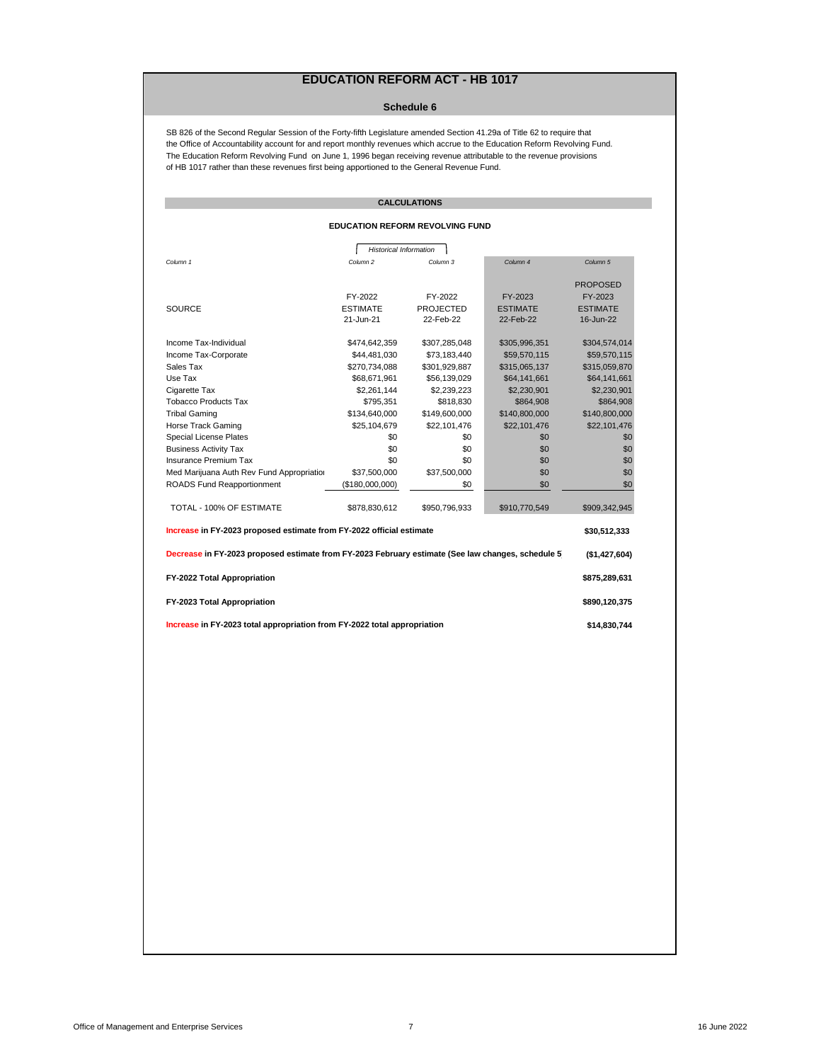# **EDUCATION REFORM ACT - HB 1017**

#### **Schedule 6**

<span id="page-8-0"></span>SB 826 of the Second Regular Session of the Forty-fifth Legislature amended Section 41.29a of Title 62 to require that the Office of Accountability account for and report monthly revenues which accrue to the Education Reform Revolving Fund. The Education Reform Revolving Fund on June 1, 1996 began receiving revenue attributable to the revenue provisions of HB 1017 rather than these revenues first being apportioned to the General Revenue Fund.

## **CALCULATIONS**

### **EDUCATION REFORM REVOLVING FUND**

| <b>Historical Information</b>                                                                     |                 |                  |                 |                 |  |
|---------------------------------------------------------------------------------------------------|-----------------|------------------|-----------------|-----------------|--|
| Column 1                                                                                          | Column 2        | Column 3         | Column 4        | Column 5        |  |
|                                                                                                   |                 |                  |                 |                 |  |
|                                                                                                   |                 |                  |                 | <b>PROPOSED</b> |  |
|                                                                                                   | FY-2022         | FY-2022          | FY-2023         | FY-2023         |  |
| <b>SOURCE</b>                                                                                     | <b>ESTIMATE</b> | <b>PROJECTED</b> | <b>ESTIMATE</b> | <b>ESTIMATE</b> |  |
|                                                                                                   | 21-Jun-21       | 22-Feb-22        | 22-Feb-22       | 16-Jun-22       |  |
| Income Tax-Individual                                                                             | \$474,642,359   | \$307,285,048    | \$305,996,351   | \$304,574,014   |  |
| Income Tax-Corporate                                                                              | \$44,481,030    | \$73,183,440     | \$59,570,115    | \$59,570,115    |  |
| Sales Tax                                                                                         | \$270,734,088   | \$301,929,887    | \$315,065,137   | \$315,059,870   |  |
| Use Tax                                                                                           | \$68,671,961    | \$56,139,029     | \$64,141,661    | \$64,141,661    |  |
| Cigarette Tax                                                                                     | \$2,261,144     | \$2,239,223      | \$2,230,901     | \$2,230,901     |  |
| <b>Tobacco Products Tax</b>                                                                       | \$795,351       | \$818,830        | \$864,908       | \$864,908       |  |
| <b>Tribal Gaming</b>                                                                              | \$134,640,000   | \$149,600,000    | \$140,800,000   | \$140,800,000   |  |
| <b>Horse Track Gaming</b>                                                                         | \$25,104,679    | \$22,101,476     | \$22,101,476    | \$22,101,476    |  |
| <b>Special License Plates</b>                                                                     | \$0             | \$0              | \$0             | \$0             |  |
| <b>Business Activity Tax</b>                                                                      | \$0             | \$0              | \$0             | \$0             |  |
| <b>Insurance Premium Tax</b>                                                                      | \$0             | \$0              | \$0             | \$0             |  |
| Med Marijuana Auth Rev Fund Appropriation                                                         | \$37,500,000    | \$37,500,000     | \$0             | \$0             |  |
| <b>ROADS Fund Reapportionment</b>                                                                 | (\$180,000,000) | \$0              | \$0             | \$0             |  |
| TOTAL - 100% OF ESTIMATE                                                                          | \$878,830,612   | \$950,796,933    | \$910,770,549   | \$909,342,945   |  |
| Increase in FY-2023 proposed estimate from FY-2022 official estimate<br>\$30,512,333              |                 |                  |                 |                 |  |
| Decrease in FY-2023 proposed estimate from FY-2023 February estimate (See law changes, schedule 5 |                 |                  |                 | (\$1,427,604)   |  |
| FY-2022 Total Appropriation                                                                       |                 |                  |                 | \$875,289,631   |  |
| FY-2023 Total Appropriation                                                                       |                 |                  |                 | \$890,120,375   |  |
| Increase in FY-2023 total appropriation from FY-2022 total appropriation                          |                 |                  |                 |                 |  |
| \$14,830,744                                                                                      |                 |                  |                 |                 |  |
|                                                                                                   |                 |                  |                 |                 |  |
|                                                                                                   |                 |                  |                 |                 |  |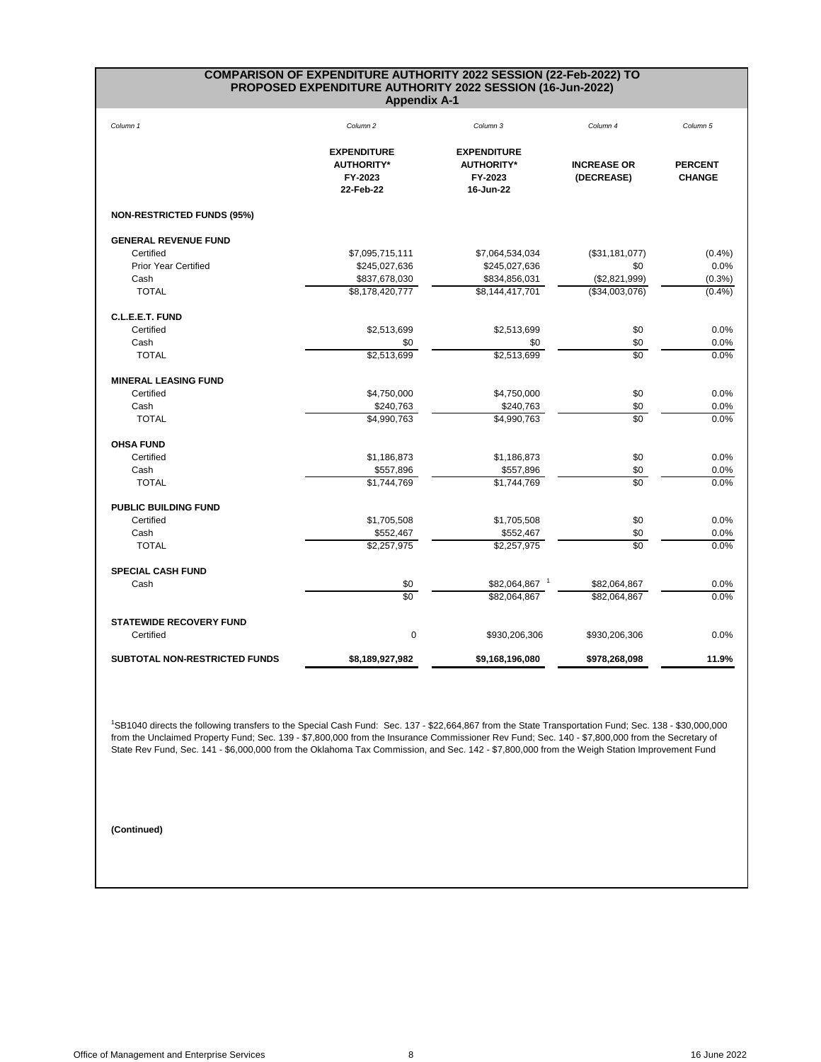#### **COMPARISON OF EXPENDITURE AUTHORITY 2022 SESSION (22-Feb-2022) TO PROPOSED EXPENDITURE AUTHORITY 2022 SESSION (16-Jun-2022) Appendix A-1**

<span id="page-9-0"></span>

| Column 1                          | Column <sub>2</sub>                                             | Column 3                                                        | Column 4                         | Column 5                        |
|-----------------------------------|-----------------------------------------------------------------|-----------------------------------------------------------------|----------------------------------|---------------------------------|
|                                   | <b>EXPENDITURE</b><br><b>AUTHORITY*</b><br>FY-2023<br>22-Feb-22 | <b>EXPENDITURE</b><br><b>AUTHORITY*</b><br>FY-2023<br>16-Jun-22 | <b>INCREASE OR</b><br>(DECREASE) | <b>PERCENT</b><br><b>CHANGE</b> |
| <b>NON-RESTRICTED FUNDS (95%)</b> |                                                                 |                                                                 |                                  |                                 |
| <b>GENERAL REVENUE FUND</b>       |                                                                 |                                                                 |                                  |                                 |
| Certified                         | \$7,095,715,111                                                 | \$7,064,534,034                                                 | (\$31,181,077)                   | (0.4% )                         |
| <b>Prior Year Certified</b>       | \$245,027,636                                                   | \$245,027,636                                                   | \$0                              | 0.0%                            |
| Cash                              | \$837,678,030                                                   | \$834,856,031                                                   | (\$2,821,999)                    | $(0.3\%)$                       |
| <b>TOTAL</b>                      | \$8,178,420,777                                                 | \$8,144,417,701                                                 | (\$34,003,076)                   | $(0.4\%)$                       |
| C.L.E.E.T. FUND                   |                                                                 |                                                                 |                                  |                                 |
| Certified                         | \$2,513,699                                                     | \$2,513,699                                                     | \$0                              | 0.0%                            |
| Cash                              | \$0                                                             | \$0                                                             | \$0                              | 0.0%                            |
| <b>TOTAL</b>                      | \$2,513,699                                                     | \$2,513,699                                                     | \$0                              | 0.0%                            |
| <b>MINERAL LEASING FUND</b>       |                                                                 |                                                                 |                                  |                                 |
| Certified                         | \$4,750,000                                                     | \$4,750,000                                                     | \$0                              | 0.0%                            |
| Cash                              | \$240,763                                                       | \$240,763                                                       | \$0                              | 0.0%                            |
| <b>TOTAL</b>                      | \$4,990,763                                                     | \$4,990,763                                                     | \$0                              | 0.0%                            |
| <b>OHSA FUND</b>                  |                                                                 |                                                                 |                                  |                                 |
| Certified                         | \$1,186,873                                                     | \$1,186,873                                                     | \$0                              | 0.0%                            |
| Cash                              | \$557,896                                                       | \$557,896                                                       | \$0                              | 0.0%                            |
| <b>TOTAL</b>                      | \$1,744,769                                                     | \$1,744,769                                                     | \$0                              | 0.0%                            |
| <b>PUBLIC BUILDING FUND</b>       |                                                                 |                                                                 |                                  |                                 |
| Certified                         | \$1,705,508                                                     | \$1,705,508                                                     | \$0                              | 0.0%                            |
| Cash                              | \$552,467                                                       | \$552,467                                                       | \$0                              | 0.0%                            |
| <b>TOTAL</b>                      | \$2,257,975                                                     | \$2,257,975                                                     | \$0                              | 0.0%                            |
| <b>SPECIAL CASH FUND</b>          |                                                                 |                                                                 |                                  |                                 |
| Cash                              | \$0                                                             | \$82,064,867 1                                                  | \$82,064,867                     | 0.0%                            |
|                                   | $\overline{50}$                                                 | \$82,064,867                                                    | \$82,064,867                     | 0.0%                            |
| <b>STATEWIDE RECOVERY FUND</b>    |                                                                 |                                                                 |                                  |                                 |
| Certified                         | 0                                                               | \$930,206,306                                                   | \$930,206,306                    | 0.0%                            |
| SUBTOTAL NON-RESTRICTED FUNDS     | \$8,189,927,982                                                 | \$9,168,196,080                                                 | \$978,268,098                    | 11.9%                           |

<sup>1</sup>SB1040 directs the following transfers to the Special Cash Fund: Sec. 137 - \$22,664,867 from the State Transportation Fund; Sec. 138 - \$30,000,000 from the Unclaimed Property Fund; Sec. 139 - \$7,800,000 from the Insurance Commissioner Rev Fund; Sec. 140 - \$7,800,000 from the Secretary of State Rev Fund, Sec. 141 - \$6,000,000 from the Oklahoma Tax Commission, and Sec. 142 - \$7,800,000 from the Weigh Station Improvement Fund

**(Continued)**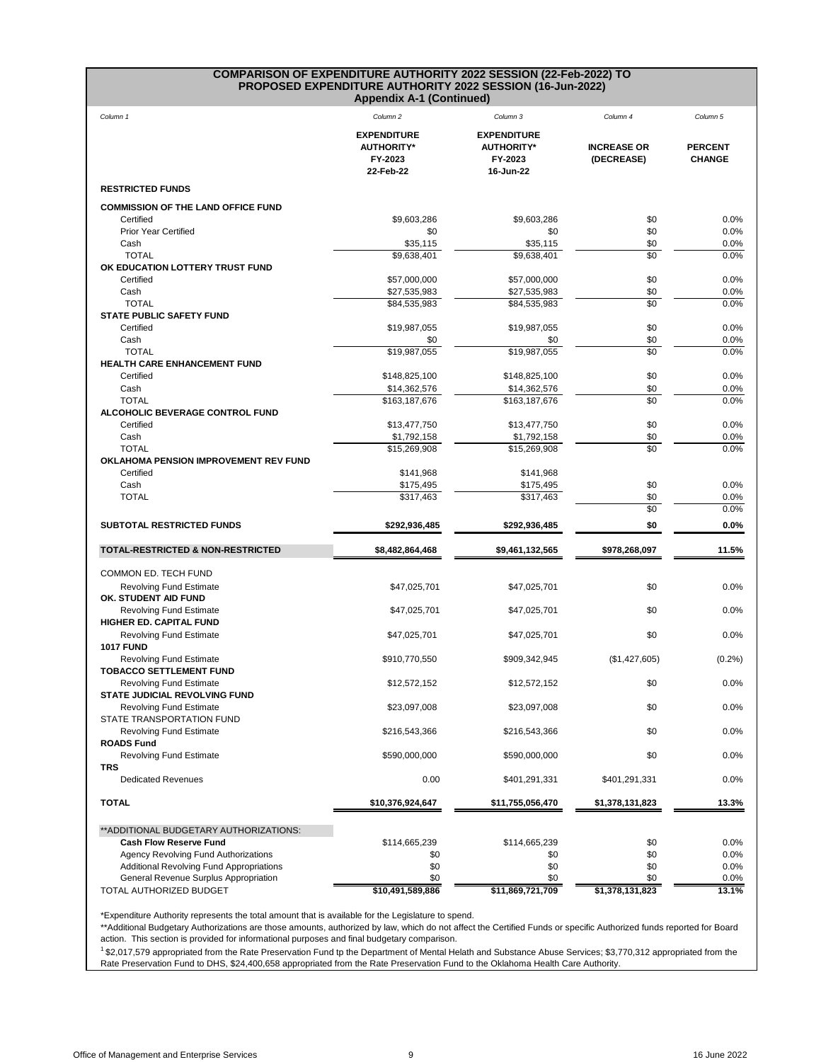## **COMPARISON OF EXPENDITURE AUTHORITY 2022 SESSION (22-Feb-2022) TO PROPOSED EXPENDITURE AUTHORITY 2022 SESSION (16-Jun-2022)**

**Appendix A-1 (Continued)**

| Column 1                                                              | Column <sub>2</sub>                                             | Column 3                                                        | Column 4                         | Column 5                        |
|-----------------------------------------------------------------------|-----------------------------------------------------------------|-----------------------------------------------------------------|----------------------------------|---------------------------------|
|                                                                       | <b>EXPENDITURE</b><br><b>AUTHORITY*</b><br>FY-2023<br>22-Feb-22 | <b>EXPENDITURE</b><br><b>AUTHORITY*</b><br>FY-2023<br>16-Jun-22 | <b>INCREASE OR</b><br>(DECREASE) | <b>PERCENT</b><br><b>CHANGE</b> |
| <b>RESTRICTED FUNDS</b>                                               |                                                                 |                                                                 |                                  |                                 |
| <b>COMMISSION OF THE LAND OFFICE FUND</b>                             |                                                                 |                                                                 |                                  |                                 |
| Certified                                                             | \$9,603,286                                                     | \$9,603,286                                                     | \$0                              | 0.0%                            |
| <b>Prior Year Certified</b>                                           | \$0                                                             | \$0                                                             | \$0                              | 0.0%                            |
| Cash<br><b>TOTAL</b>                                                  | \$35,115                                                        | \$35,115                                                        | \$0                              | 0.0%                            |
| OK EDUCATION LOTTERY TRUST FUND                                       | $\overline{$9,638,401}$                                         | $\overline{$9,638,401}$                                         | $\sqrt{6}$                       | 0.0%                            |
| Certified                                                             | \$57,000,000                                                    | \$57,000,000                                                    | \$0                              | 0.0%                            |
| Cash                                                                  | \$27,535,983                                                    | \$27,535,983                                                    | \$0                              | $0.0\%$                         |
| <b>TOTAL</b>                                                          | \$84,535,983                                                    | \$84,535,983                                                    | $\sqrt{6}$                       | 0.0%                            |
| <b>STATE PUBLIC SAFETY FUND</b>                                       |                                                                 |                                                                 |                                  |                                 |
| Certified                                                             | \$19,987,055                                                    | \$19,987,055                                                    | \$0                              | 0.0%                            |
| Cash<br><b>TOTAL</b>                                                  | \$0<br>\$19,987,055                                             | \$0<br>\$19,987,055                                             | \$0<br>\$0                       | 0.0%<br>0.0%                    |
| <b>HEALTH CARE ENHANCEMENT FUND</b>                                   |                                                                 |                                                                 |                                  |                                 |
| Certified                                                             | \$148,825,100                                                   | \$148,825,100                                                   | \$0                              | 0.0%                            |
| Cash                                                                  | \$14,362,576                                                    | \$14,362,576                                                    | \$0                              | 0.0%                            |
| <b>TOTAL</b>                                                          | \$163,187,676                                                   | \$163,187,676                                                   | \$0                              | 0.0%                            |
| ALCOHOLIC BEVERAGE CONTROL FUND<br>Certified                          | \$13,477,750                                                    | \$13,477,750                                                    | \$0                              | 0.0%                            |
| Cash                                                                  | \$1,792,158                                                     | \$1,792,158                                                     | \$0                              | 0.0%                            |
| <b>TOTAL</b>                                                          | \$15,269,908                                                    | \$15,269,908                                                    | $\sqrt{6}$                       | 0.0%                            |
| OKLAHOMA PENSION IMPROVEMENT REV FUND                                 |                                                                 |                                                                 |                                  |                                 |
| Certified                                                             | \$141,968                                                       | \$141,968                                                       |                                  |                                 |
| Cash                                                                  | \$175,495                                                       | \$175,495                                                       | \$0                              | 0.0%                            |
| <b>TOTAL</b>                                                          | \$317,463                                                       | \$317,463                                                       | \$0<br>\$0                       | 0.0%                            |
|                                                                       |                                                                 |                                                                 |                                  | 0.0%                            |
| <b>SUBTOTAL RESTRICTED FUNDS</b>                                      | \$292,936,485                                                   | \$292,936,485                                                   | \$0                              | $0.0\%$                         |
| <b>TOTAL-RESTRICTED &amp; NON-RESTRICTED</b>                          | \$8,482,864,468                                                 | \$9,461,132,565                                                 | \$978,268,097                    | 11.5%                           |
| <b>COMMON ED. TECH FUND</b>                                           |                                                                 |                                                                 |                                  |                                 |
| <b>Revolving Fund Estimate</b><br>OK. STUDENT AID FUND                | \$47,025,701                                                    | \$47,025,701                                                    | \$0                              | 0.0%                            |
| Revolving Fund Estimate<br>HIGHER ED. CAPITAL FUND                    | \$47,025,701                                                    | \$47,025,701                                                    | \$0                              | 0.0%                            |
| <b>Revolving Fund Estimate</b>                                        | \$47,025,701                                                    | \$47,025,701                                                    | \$0                              | 0.0%                            |
| <b>1017 FUND</b>                                                      |                                                                 |                                                                 |                                  |                                 |
| <b>Revolving Fund Estimate</b><br><b>TOBACCO SETTLEMENT FUND</b>      | \$910,770,550                                                   | \$909,342,945                                                   | (\$1,427,605)                    | (0.2%)                          |
| Revolving Fund Estimate<br><b>STATE JUDICIAL REVOLVING FUND</b>       | \$12,572,152                                                    | \$12,572,152                                                    | \$0                              | 0.0%                            |
| <b>Revolving Fund Estimate</b><br><b>STATE TRANSPORTATION FUND</b>    | \$23,097,008                                                    | \$23,097,008                                                    | \$0                              | 0.0%                            |
| <b>Revolving Fund Estimate</b><br><b>ROADS Fund</b>                   | \$216,543,366                                                   | \$216,543,366                                                   | \$0                              | 0.0%                            |
| Revolving Fund Estimate                                               | \$590,000,000                                                   | \$590,000,000                                                   | \$0                              | 0.0%                            |
| <b>TRS</b><br><b>Dedicated Revenues</b>                               | 0.00                                                            | \$401,291,331                                                   | \$401,291,331                    | 0.0%                            |
| <b>TOTAL</b>                                                          | \$10,376,924,647                                                | \$11,755,056,470                                                | \$1,378,131,823                  | 13.3%                           |
|                                                                       |                                                                 |                                                                 |                                  |                                 |
| **ADDITIONAL BUDGETARY AUTHORIZATIONS:                                |                                                                 |                                                                 |                                  |                                 |
| <b>Cash Flow Reserve Fund</b><br>Agency Revolving Fund Authorizations | \$114,665,239<br>\$0                                            | \$114,665,239<br>\$0                                            | \$0<br>\$0                       | 0.0%<br>0.0%                    |
| <b>Additional Revolving Fund Appropriations</b>                       | \$0                                                             | \$0                                                             | \$0                              | 0.0%                            |
| General Revenue Surplus Appropriation                                 | \$0                                                             | \$0                                                             | \$0                              | 0.0%                            |
| TOTAL AUTHORIZED BUDGET                                               | \$10,491,589,886                                                | \$11,869,721,709                                                | \$1,378,131,823                  | 13.1%                           |

\*Expenditure Authority represents the total amount that is available for the Legislature to spend.

\*\*Additional Budgetary Authorizations are those amounts, authorized by law, which do not affect the Certified Funds or specific Authorized funds reported for Board action. This section is provided for informational purposes and final budgetary comparison.

<sup>1</sup>\$2,017,579 appropriated from the Rate Preservation Fund tp the Department of Mental Helath and Substance Abuse Services; \$3,770,312 appropriated from the Rate Preservation Fund to DHS, \$24,400,658 appropriated from the Rate Preservation Fund to the Oklahoma Health Care Authority.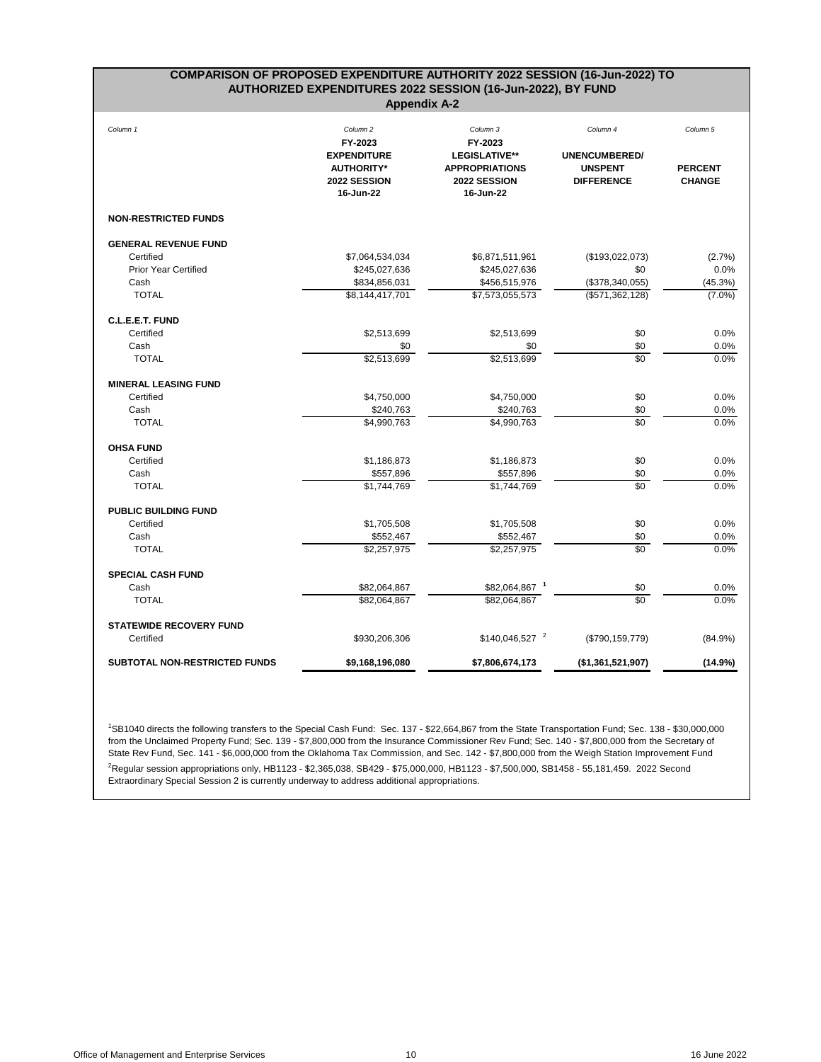<span id="page-11-0"></span>

| COMPARISON OF PROPOSED EXPENDITURE AUTHORITY 2022 SESSION (16-Jun-2022) TO<br>AUTHORIZED EXPENDITURES 2022 SESSION (16-Jun-2022), BY FUND<br><b>Appendix A-2</b> |                                                                                                        |                                                                                                   |                                                                         |                                             |  |
|------------------------------------------------------------------------------------------------------------------------------------------------------------------|--------------------------------------------------------------------------------------------------------|---------------------------------------------------------------------------------------------------|-------------------------------------------------------------------------|---------------------------------------------|--|
| Column 1                                                                                                                                                         | Column <sub>2</sub><br>FY-2023<br><b>EXPENDITURE</b><br><b>AUTHORITY*</b><br>2022 SESSION<br>16-Jun-22 | Column 3<br>FY-2023<br><b>LEGISLATIVE**</b><br><b>APPROPRIATIONS</b><br>2022 SESSION<br>16-Jun-22 | Column 4<br><b>UNENCUMBERED/</b><br><b>UNSPENT</b><br><b>DIFFERENCE</b> | Column 5<br><b>PERCENT</b><br><b>CHANGE</b> |  |
| <b>NON-RESTRICTED FUNDS</b>                                                                                                                                      |                                                                                                        |                                                                                                   |                                                                         |                                             |  |
| <b>GENERAL REVENUE FUND</b>                                                                                                                                      |                                                                                                        |                                                                                                   |                                                                         |                                             |  |
| Certified                                                                                                                                                        | \$7,064,534,034                                                                                        | \$6,871,511,961                                                                                   | (\$193,022,073)                                                         | (2.7%)                                      |  |
| <b>Prior Year Certified</b>                                                                                                                                      | \$245,027,636                                                                                          | \$245,027,636                                                                                     | \$0                                                                     | 0.0%                                        |  |
| Cash                                                                                                                                                             | \$834,856,031                                                                                          | \$456,515,976                                                                                     | (\$378,340,055)                                                         | (45.3%)                                     |  |
| <b>TOTAL</b>                                                                                                                                                     | \$8,144,417,701                                                                                        | \$7,573,055,573                                                                                   | (\$571,362,128)                                                         | $(7.0\%)$                                   |  |
| C.L.E.E.T. FUND                                                                                                                                                  |                                                                                                        |                                                                                                   |                                                                         |                                             |  |
| Certified                                                                                                                                                        | \$2,513,699                                                                                            | \$2,513,699                                                                                       | \$0                                                                     | 0.0%                                        |  |
| Cash                                                                                                                                                             | \$0                                                                                                    | \$0                                                                                               | \$0                                                                     | 0.0%                                        |  |
| <b>TOTAL</b>                                                                                                                                                     | \$2,513,699                                                                                            | \$2,513,699                                                                                       | \$0                                                                     | 0.0%                                        |  |
| <b>MINERAL LEASING FUND</b>                                                                                                                                      |                                                                                                        |                                                                                                   |                                                                         |                                             |  |
| Certified                                                                                                                                                        | \$4,750,000                                                                                            | \$4,750,000                                                                                       | \$0                                                                     | 0.0%                                        |  |
| Cash                                                                                                                                                             | \$240,763                                                                                              | \$240,763                                                                                         | \$0                                                                     | 0.0%                                        |  |
| <b>TOTAL</b>                                                                                                                                                     | \$4,990,763                                                                                            | \$4,990,763                                                                                       | \$0                                                                     | 0.0%                                        |  |
| <b>OHSA FUND</b>                                                                                                                                                 |                                                                                                        |                                                                                                   |                                                                         |                                             |  |
| Certified                                                                                                                                                        | \$1,186,873                                                                                            | \$1,186,873                                                                                       | \$0                                                                     | 0.0%                                        |  |
| Cash                                                                                                                                                             | \$557,896                                                                                              | \$557,896                                                                                         | \$0                                                                     | $0.0\%$                                     |  |
| <b>TOTAL</b>                                                                                                                                                     | \$1,744,769                                                                                            | \$1,744,769                                                                                       | \$0                                                                     | 0.0%                                        |  |
| <b>PUBLIC BUILDING FUND</b>                                                                                                                                      |                                                                                                        |                                                                                                   |                                                                         |                                             |  |
| Certified                                                                                                                                                        | \$1,705,508                                                                                            | \$1,705,508                                                                                       | \$0                                                                     | 0.0%                                        |  |
| Cash                                                                                                                                                             | \$552,467                                                                                              | \$552,467                                                                                         | \$0                                                                     | 0.0%                                        |  |
| <b>TOTAL</b>                                                                                                                                                     | \$2,257,975                                                                                            | \$2,257,975                                                                                       | $\sqrt{6}$                                                              | 0.0%                                        |  |
| <b>SPECIAL CASH FUND</b>                                                                                                                                         |                                                                                                        |                                                                                                   |                                                                         |                                             |  |
| Cash                                                                                                                                                             | \$82,064,867                                                                                           | \$82,064,867 1                                                                                    | \$0                                                                     | 0.0%                                        |  |
| <b>TOTAL</b>                                                                                                                                                     | \$82,064,867                                                                                           | \$82,064,867                                                                                      | \$0                                                                     | 0.0%                                        |  |
| <b>STATEWIDE RECOVERY FUND</b>                                                                                                                                   |                                                                                                        |                                                                                                   |                                                                         |                                             |  |
| Certified                                                                                                                                                        | \$930,206,306                                                                                          | $$140,046,527$ <sup>2</sup>                                                                       | (\$790, 159, 779)                                                       | $(84.9\%)$                                  |  |
| <b>SUBTOTAL NON-RESTRICTED FUNDS</b>                                                                                                                             | \$9,168,196,080                                                                                        | \$7,806,674,173                                                                                   | (\$1,361,521,907)                                                       | (14.9%)                                     |  |

<sup>1</sup>SB1040 directs the following transfers to the Special Cash Fund: Sec. 137 - \$22,664,867 from the State Transportation Fund; Sec. 138 - \$30,000,000 from the Unclaimed Property Fund; Sec. 139 - \$7,800,000 from the Insurance Commissioner Rev Fund; Sec. 140 - \$7,800,000 from the Secretary of State Rev Fund, Sec. 141 - \$6,000,000 from the Oklahoma Tax Commission, and Sec. 142 - \$7,800,000 from the Weigh Station Improvement Fund <sup>2</sup>Regular session appropriations only, HB1123 - \$2,365,038, SB429 - \$75,000,000, HB1123 - \$7,500,000, SB1458 - 55,181,459. 2022 Second Extraordinary Special Session 2 is currently underway to address additional appropriations.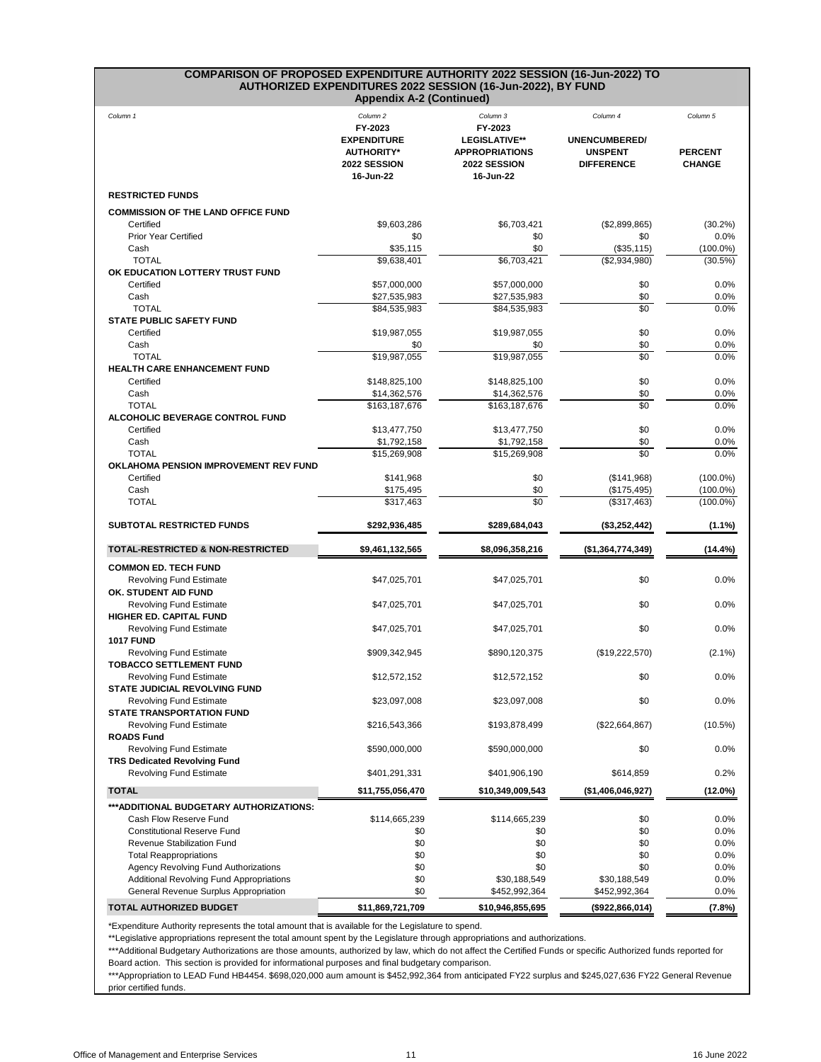# **COMPARISON OF PROPOSED EXPENDITURE AUTHORITY 2022 SESSION (16-Jun-2022) TO AUTHORIZED EXPENDITURES 2022 SESSION (16-Jun-2022), BY FUND**

|                                                                                          | <b>Appendix A-2 (Continued)</b>                      |                                                    |                                     |                                 |
|------------------------------------------------------------------------------------------|------------------------------------------------------|----------------------------------------------------|-------------------------------------|---------------------------------|
| Column 1                                                                                 | Column <sub>2</sub><br>FY-2023<br><b>EXPENDITURE</b> | Column 3<br>FY-2023<br>LEGISLATIVE**               | Column 4<br><b>UNENCUMBERED/</b>    | Column 5                        |
|                                                                                          | <b>AUTHORITY*</b><br>2022 SESSION<br>16-Jun-22       | <b>APPROPRIATIONS</b><br>2022 SESSION<br>16-Jun-22 | <b>UNSPENT</b><br><b>DIFFERENCE</b> | <b>PERCENT</b><br><b>CHANGE</b> |
| <b>RESTRICTED FUNDS</b>                                                                  |                                                      |                                                    |                                     |                                 |
| <b>COMMISSION OF THE LAND OFFICE FUND</b>                                                |                                                      |                                                    |                                     |                                 |
| Certified                                                                                | \$9,603,286                                          | \$6,703,421                                        | (\$2,899,865)                       | $(30.2\%)$                      |
| <b>Prior Year Certified</b><br>Cash                                                      | \$0<br>\$35,115                                      | \$0<br>\$0                                         | \$0<br>(\$35,115)                   | 0.0%<br>$(100.0\%)$             |
| <b>TOTAL</b>                                                                             | $\overline{39,638,401}$                              | \$6,703,421                                        | (\$2,934,980)                       | (30.5%)                         |
| OK EDUCATION LOTTERY TRUST FUND                                                          |                                                      |                                                    |                                     |                                 |
| Certified                                                                                | \$57,000,000                                         | \$57,000,000                                       | \$0                                 | 0.0%                            |
| Cash<br><b>TOTAL</b>                                                                     | \$27,535,983<br>\$84,535,983                         | \$27,535,983<br>\$84,535,983                       | \$0<br>\$0                          | 0.0%<br>0.0%                    |
| <b>STATE PUBLIC SAFETY FUND</b>                                                          |                                                      |                                                    |                                     |                                 |
| Certified                                                                                | \$19,987,055                                         | \$19,987,055                                       | \$0                                 | 0.0%                            |
| Cash                                                                                     | \$0                                                  | \$0                                                | \$0                                 | 0.0%                            |
| <b>TOTAL</b><br><b>HEALTH CARE ENHANCEMENT FUND</b>                                      | \$19,987,055                                         | \$19,987,055                                       | \$0                                 | 0.0%                            |
| Certified                                                                                | \$148,825,100                                        | \$148,825,100                                      | \$0                                 | $0.0\%$                         |
| Cash                                                                                     | \$14,362,576                                         | \$14,362,576                                       | \$0                                 | 0.0%                            |
| <b>TOTAL</b><br><b>ALCOHOLIC BEVERAGE CONTROL FUND</b>                                   | \$163,187,676                                        | \$163,187,676                                      | $\overline{30}$                     | 0.0%                            |
| Certified                                                                                | \$13,477,750                                         | \$13,477,750                                       | \$0                                 | 0.0%                            |
| Cash                                                                                     | \$1,792,158                                          | \$1,792,158                                        | \$0                                 | 0.0%                            |
| <b>TOTAL</b>                                                                             | \$15,269,908                                         | \$15,269,908                                       | $\overline{30}$                     | 0.0%                            |
| <b>OKLAHOMA PENSION IMPROVEMENT REV FUND</b>                                             |                                                      |                                                    |                                     |                                 |
| Certified<br>Cash                                                                        | \$141,968<br>\$175,495                               | \$0<br>\$0                                         | (\$141,968)<br>(\$175,495)          | $(100.0\%)$<br>$(100.0\%)$      |
| <b>TOTAL</b>                                                                             | \$317,463                                            | $\overline{50}$                                    | $($ \$317,463)                      | $(100.0\%)$                     |
| <b>SUBTOTAL RESTRICTED FUNDS</b>                                                         | \$292,936,485                                        | \$289,684,043                                      | (\$3,252,442)                       | (1.1%)                          |
| <b>TOTAL-RESTRICTED &amp; NON-RESTRICTED</b>                                             | \$9,461,132,565                                      | \$8,096,358,216                                    | (\$1,364,774,349)                   | $(14.4\%)$                      |
|                                                                                          |                                                      |                                                    |                                     |                                 |
| <b>COMMON ED. TECH FUND</b><br><b>Revolving Fund Estimate</b><br>OK. STUDENT AID FUND    | \$47,025,701                                         | \$47,025,701                                       | \$0                                 | 0.0%                            |
| <b>Revolving Fund Estimate</b><br><b>HIGHER ED. CAPITAL FUND</b>                         | \$47,025,701                                         | \$47,025,701                                       | \$0                                 | $0.0\%$                         |
| <b>Revolving Fund Estimate</b><br><b>1017 FUND</b>                                       | \$47,025,701                                         | \$47,025,701                                       | \$0                                 | 0.0%                            |
| <b>Revolving Fund Estimate</b><br><b>TOBACCO SETTLEMENT FUND</b>                         | \$909,342,945                                        | \$890,120,375                                      | (\$19,222,570)                      | $(2.1\%)$                       |
| <b>Revolving Fund Estimate</b><br><b>STATE JUDICIAL REVOLVING FUND</b>                   | \$12,572,152                                         | \$12,572,152                                       | \$0                                 | 0.0%                            |
| <b>Revolving Fund Estimate</b><br><b>STATE TRANSPORTATION FUND</b>                       | \$23,097,008                                         | \$23,097,008                                       | \$0                                 | 0.0%                            |
| <b>Revolving Fund Estimate</b><br><b>ROADS Fund</b>                                      | \$216,543,366                                        | \$193,878,499                                      | (\$22,664,867)                      | $(10.5\%)$                      |
| <b>Revolving Fund Estimate</b><br><b>TRS Dedicated Revolving Fund</b>                    | \$590,000,000                                        | \$590,000,000                                      | \$0                                 | 0.0%                            |
| <b>Revolving Fund Estimate</b>                                                           | \$401,291,331                                        | \$401,906,190                                      | \$614,859                           | 0.2%                            |
| <b>TOTAL</b>                                                                             | \$11,755,056,470                                     | \$10,349,009,543                                   | (\$1,406,046,927)                   | $(12.0\%)$                      |
| *** ADDITIONAL BUDGETARY AUTHORIZATIONS:                                                 |                                                      |                                                    |                                     |                                 |
| Cash Flow Reserve Fund                                                                   | \$114,665,239                                        | \$114,665,239                                      | \$0                                 | 0.0%                            |
| <b>Constitutional Reserve Fund</b><br>Revenue Stabilization Fund                         | \$0<br>\$0                                           | \$0<br>\$0                                         | \$0<br>\$0                          | 0.0%<br>0.0%                    |
| <b>Total Reappropriations</b>                                                            | \$0                                                  | \$0                                                | \$0                                 | 0.0%                            |
| Agency Revolving Fund Authorizations                                                     | \$0                                                  | \$0                                                | \$0                                 | 0.0%                            |
| <b>Additional Revolving Fund Appropriations</b><br>General Revenue Surplus Appropriation | \$0<br>\$0                                           | \$30,188,549<br>\$452,992,364                      | \$30,188,549<br>\$452,992,364       | 0.0%<br>0.0%                    |
| TOTAL AUTHORIZED BUDGET                                                                  | \$11,869,721,709                                     | \$10,946,855,695                                   | (\$922,866,014)                     | (7.8%)                          |
|                                                                                          |                                                      |                                                    |                                     |                                 |

\*Expenditure Authority represents the total amount that is available for the Legislature to spend.

\*\*Legislative appropriations represent the total amount spent by the Legislature through appropriations and authorizations. 

\*\*\*Additional Budgetary Authorizations are those amounts, authorized by law, which do not affect the Certified Funds or specific Authorized funds reported for Board action. This section is provided for informational purposes and final budgetary comparison.

\*\*\*Appropriation to LEAD Fund HB4454. \$698,020,000 aum amount is \$452,992,364 from anticipated FY22 surplus and \$245,027,636 FY22 General Revenue prior certified funds.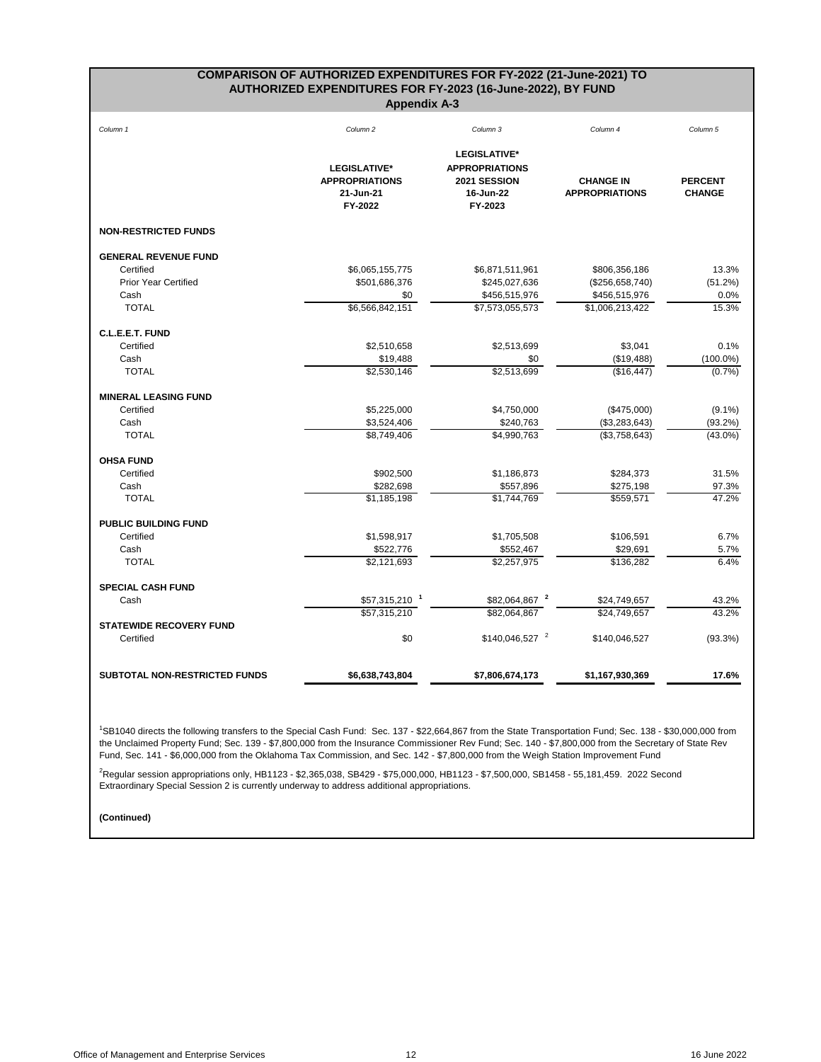### **COMPARISON OF AUTHORIZED EXPENDITURES FOR FY-2022 (21-June-2021) TO AUTHORIZED EXPENDITURES FOR FY-2023 (16-June-2022), BY FUND Appendix A-3**

<span id="page-13-0"></span>

| Column 1                       | Column <sub>2</sub>                                                  | Column 3                                                                      | Column 4                                  | Column <sub>5</sub>             |
|--------------------------------|----------------------------------------------------------------------|-------------------------------------------------------------------------------|-------------------------------------------|---------------------------------|
|                                | <b>LEGISLATIVE*</b><br><b>APPROPRIATIONS</b><br>21-Jun-21<br>FY-2022 | LEGISLATIVE*<br><b>APPROPRIATIONS</b><br>2021 SESSION<br>16-Jun-22<br>FY-2023 | <b>CHANGE IN</b><br><b>APPROPRIATIONS</b> | <b>PERCENT</b><br><b>CHANGE</b> |
| <b>NON-RESTRICTED FUNDS</b>    |                                                                      |                                                                               |                                           |                                 |
| <b>GENERAL REVENUE FUND</b>    |                                                                      |                                                                               |                                           |                                 |
| Certified                      | \$6,065,155,775                                                      | \$6,871,511,961                                                               | \$806,356,186                             | 13.3%                           |
| <b>Prior Year Certified</b>    | \$501,686,376                                                        | \$245,027,636                                                                 | (\$256,658,740)                           | (51.2%)                         |
| Cash                           | \$0                                                                  | \$456,515,976                                                                 | \$456,515,976                             | 0.0%                            |
| <b>TOTAL</b>                   | \$6,566,842,151                                                      | \$7,573,055,573                                                               | \$1,006,213,422                           | 15.3%                           |
| C.L.E.E.T. FUND                |                                                                      |                                                                               |                                           |                                 |
| Certified                      | \$2,510,658                                                          | \$2,513,699                                                                   | \$3,041                                   | 0.1%                            |
| Cash                           | \$19,488                                                             | \$0                                                                           | (\$19,488)                                | $(100.0\%)$                     |
| <b>TOTAL</b>                   | \$2,530,146                                                          | \$2,513,699                                                                   | (\$16,447)                                | (0.7%)                          |
| <b>MINERAL LEASING FUND</b>    |                                                                      |                                                                               |                                           |                                 |
| Certified                      | \$5,225,000                                                          | \$4,750,000                                                                   | (\$475,000)                               | $(9.1\%)$                       |
| Cash                           | \$3,524,406                                                          | \$240,763                                                                     | (\$3,283,643)                             | $(93.2\%)$                      |
| <b>TOTAL</b>                   | \$8,749,406                                                          | \$4,990,763                                                                   | (\$3,758,643)                             | $(43.0\%)$                      |
| <b>OHSA FUND</b>               |                                                                      |                                                                               |                                           |                                 |
| Certified                      | \$902,500                                                            | \$1,186,873                                                                   | \$284,373                                 | 31.5%                           |
| Cash                           | \$282,698                                                            | \$557,896                                                                     | \$275,198                                 | 97.3%                           |
| <b>TOTAL</b>                   | \$1,185,198                                                          | \$1,744,769                                                                   | \$559,571                                 | 47.2%                           |
| PUBLIC BUILDING FUND           |                                                                      |                                                                               |                                           |                                 |
| Certified                      | \$1,598,917                                                          | \$1,705,508                                                                   | \$106,591                                 | 6.7%                            |
| Cash                           | \$522,776                                                            | \$552,467                                                                     | \$29,691                                  | 5.7%                            |
| <b>TOTAL</b>                   | \$2,121,693                                                          | \$2,257,975                                                                   | \$136,282                                 | 6.4%                            |
| <b>SPECIAL CASH FUND</b>       |                                                                      |                                                                               |                                           |                                 |
| Cash                           | \$57,315,210 1                                                       | \$82,064,867 <sup>2</sup>                                                     | \$24,749,657                              | 43.2%                           |
|                                | \$57,315,210                                                         | \$82,064,867                                                                  | \$24,749,657                              | 43.2%                           |
| <b>STATEWIDE RECOVERY FUND</b> |                                                                      |                                                                               |                                           |                                 |
| Certified                      | \$0                                                                  | \$140,046,527 <sup>2</sup>                                                    | \$140,046,527                             | (93.3%)                         |
| SUBTOTAL NON-RESTRICTED FUNDS  | \$6,638,743,804                                                      | \$7,806,674,173                                                               | \$1,167,930,369                           | 17.6%                           |

<sup>1</sup>SB1040 directs the following transfers to the Special Cash Fund: Sec. 137 - \$22,664,867 from the State Transportation Fund; Sec. 138 - \$30,000,000 from the Unclaimed Property Fund; Sec. 139 - \$7,800,000 from the Insurance Commissioner Rev Fund; Sec. 140 - \$7,800,000 from the Secretary of State Rev Fund, Sec. 141 - \$6,000,000 from the Oklahoma Tax Commission, and Sec. 142 - \$7,800,000 from the Weigh Station Improvement Fund

<sup>2</sup>Regular session appropriations only, HB1123 - \$2,365,038, SB429 - \$75,000,000, HB1123 - \$7,500,000, SB1458 - 55,181,459. 2022 Second Extraordinary Special Session 2 is currently underway to address additional appropriations.

**(Continued)**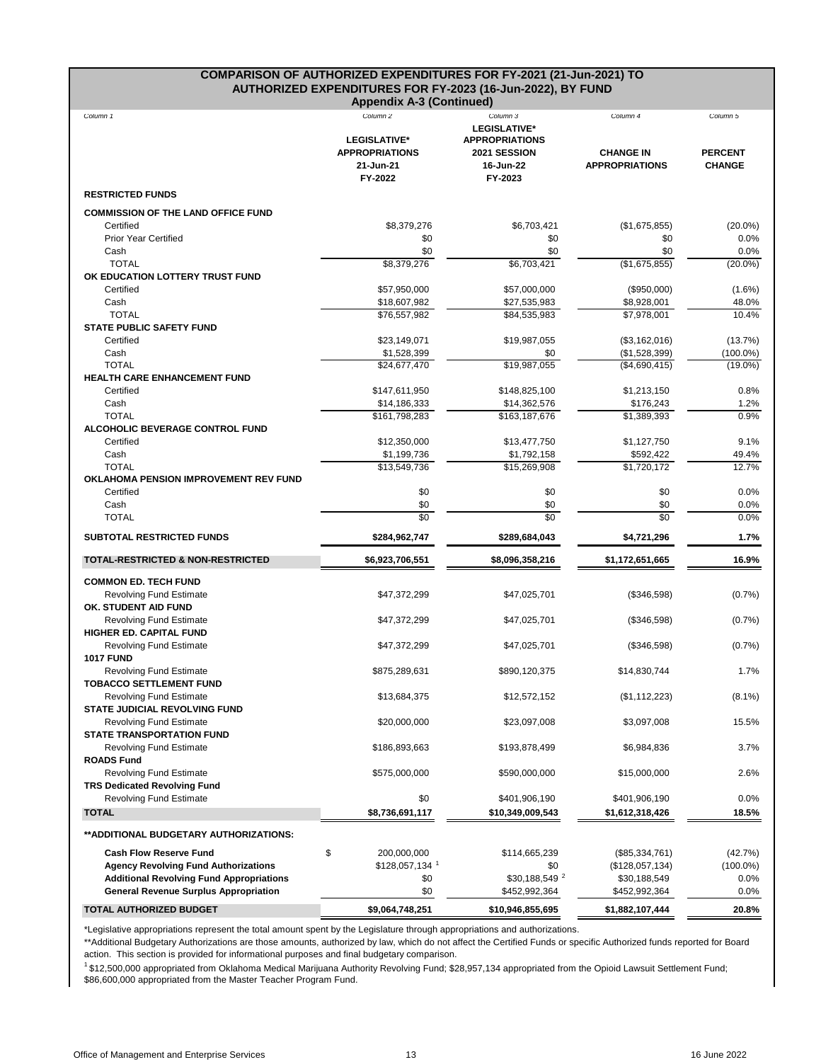#### **COMPARISON OF AUTHORIZED EXPENDITURES FOR FY-2021 (21-Jun-2021) TO AUTHORIZED EXPENDITURES FOR FY-2023 (16-Jun-2022), BY FUND Appendix A-3 (Continued)**

|                                                                       | <b>Appendix A-3 (Continued)</b>                                                             |                                                                                                  |                                                       |                                             |
|-----------------------------------------------------------------------|---------------------------------------------------------------------------------------------|--------------------------------------------------------------------------------------------------|-------------------------------------------------------|---------------------------------------------|
| Column 1                                                              | Column <sub>2</sub><br><b>LEGISLATIVE*</b><br><b>APPROPRIATIONS</b><br>21-Jun-21<br>FY-2022 | Column 3<br><b>LEGISLATIVE*</b><br><b>APPROPRIATIONS</b><br>2021 SESSION<br>16-Jun-22<br>FY-2023 | Column 4<br><b>CHANGE IN</b><br><b>APPROPRIATIONS</b> | Column 5<br><b>PERCENT</b><br><b>CHANGE</b> |
| <b>RESTRICTED FUNDS</b>                                               |                                                                                             |                                                                                                  |                                                       |                                             |
| <b>COMMISSION OF THE LAND OFFICE FUND</b>                             |                                                                                             |                                                                                                  |                                                       |                                             |
| Certified                                                             | \$8,379,276                                                                                 | \$6,703,421                                                                                      | (\$1,675,855)                                         | $(20.0\%)$                                  |
| <b>Prior Year Certified</b>                                           | \$0                                                                                         | \$0                                                                                              | \$0                                                   | 0.0%                                        |
| Cash                                                                  | \$0                                                                                         | \$0                                                                                              | \$0                                                   | 0.0%                                        |
| <b>TOTAL</b><br>OK EDUCATION LOTTERY TRUST FUND                       | \$8,379,276                                                                                 | \$6,703,421                                                                                      | (\$1,675,855)                                         | $(20.0\%)$                                  |
| Certified                                                             | \$57,950,000                                                                                | \$57,000,000                                                                                     | (\$950,000)                                           | $(1.6\%)$                                   |
| Cash                                                                  | \$18,607,982                                                                                | \$27,535,983                                                                                     | \$8,928,001                                           | 48.0%                                       |
| <b>TOTAL</b>                                                          | \$76,557,982                                                                                | \$84,535,983                                                                                     | \$7,978,001                                           | 10.4%                                       |
| <b>STATE PUBLIC SAFETY FUND</b>                                       |                                                                                             |                                                                                                  |                                                       |                                             |
| Certified                                                             | \$23,149,071                                                                                | \$19,987,055                                                                                     | (\$3,162,016)                                         | (13.7%)                                     |
| Cash<br><b>TOTAL</b>                                                  | \$1,528,399<br>\$24,677,470                                                                 | \$0<br>\$19,987,055                                                                              | (\$1,528,399)<br>(\$4,690,415)                        | $(100.0\%)$<br>$(19.0\%)$                   |
| <b>HEALTH CARE ENHANCEMENT FUND</b>                                   |                                                                                             |                                                                                                  |                                                       |                                             |
| Certified                                                             | \$147,611,950                                                                               | \$148,825,100                                                                                    | \$1,213,150                                           | 0.8%                                        |
| Cash                                                                  | \$14,186,333                                                                                | \$14,362,576                                                                                     | \$176,243                                             | 1.2%                                        |
| <b>TOTAL</b>                                                          | \$161,798,283                                                                               | \$163,187,676                                                                                    | \$1,389,393                                           | 0.9%                                        |
| <b>ALCOHOLIC BEVERAGE CONTROL FUND</b>                                |                                                                                             |                                                                                                  |                                                       |                                             |
| Certified                                                             | \$12,350,000                                                                                | \$13,477,750                                                                                     | \$1,127,750                                           | 9.1%                                        |
| Cash<br><b>TOTAL</b>                                                  | \$1,199,736<br>\$13,549,736                                                                 | \$1,792,158<br>\$15,269,908                                                                      | \$592,422<br>\$1,720,172                              | 49.4%<br>12.7%                              |
| OKLAHOMA PENSION IMPROVEMENT REV FUND                                 |                                                                                             |                                                                                                  |                                                       |                                             |
| Certified                                                             | \$0                                                                                         | \$0                                                                                              | \$0                                                   | 0.0%                                        |
| Cash                                                                  | \$0                                                                                         | \$0                                                                                              | \$0                                                   | 0.0%                                        |
| <b>TOTAL</b>                                                          | $\sqrt{6}$                                                                                  | $\overline{30}$                                                                                  | $\overline{30}$                                       | 0.0%                                        |
| <b>SUBTOTAL RESTRICTED FUNDS</b>                                      | \$284,962,747                                                                               | \$289,684,043                                                                                    | \$4,721,296                                           | 1.7%                                        |
| <b>TOTAL-RESTRICTED &amp; NON-RESTRICTED</b>                          | \$6,923,706,551                                                                             | \$8,096,358,216                                                                                  | \$1,172,651,665                                       | 16.9%                                       |
| <b>COMMON ED. TECH FUND</b>                                           |                                                                                             |                                                                                                  |                                                       |                                             |
| <b>Revolving Fund Estimate</b><br>OK. STUDENT AID FUND                | \$47,372,299                                                                                | \$47,025,701                                                                                     | $(\$346,598)$                                         | $(0.7\%)$                                   |
| <b>Revolving Fund Estimate</b><br>HIGHER ED. CAPITAL FUND             | \$47,372,299                                                                                | \$47,025,701                                                                                     | (\$346,598)                                           | (0.7%)                                      |
| <b>Revolving Fund Estimate</b><br><b>1017 FUND</b>                    | \$47,372,299                                                                                | \$47,025,701                                                                                     | (\$346,598)                                           | (0.7%                                       |
| <b>Revolving Fund Estimate</b><br><b>TOBACCO SETTLEMENT FUND</b>      | \$875,289,631                                                                               | \$890,120,375                                                                                    | \$14,830,744                                          | 1.7%                                        |
| <b>Revolving Fund Estimate</b><br>STATE JUDICIAL REVOLVING FUND       | \$13,684,375                                                                                | \$12,572,152                                                                                     | (\$1,112,223)                                         | $(8.1\%)$                                   |
| <b>Revolving Fund Estimate</b><br><b>STATE TRANSPORTATION FUND</b>    | \$20,000,000                                                                                | \$23,097,008                                                                                     | \$3,097,008                                           | 15.5%                                       |
| <b>Revolving Fund Estimate</b><br><b>ROADS Fund</b>                   | \$186,893,663                                                                               | \$193,878,499                                                                                    | \$6,984,836                                           | 3.7%                                        |
| <b>Revolving Fund Estimate</b><br><b>TRS Dedicated Revolving Fund</b> | \$575,000,000                                                                               | \$590,000,000                                                                                    | \$15,000,000                                          | 2.6%                                        |
| <b>Revolving Fund Estimate</b>                                        | \$0                                                                                         | \$401,906,190                                                                                    | \$401,906,190                                         | $0.0\%$                                     |
| <b>TOTAL</b>                                                          | \$8,736,691,117                                                                             | \$10,349,009,543                                                                                 | \$1,612,318,426                                       | 18.5%                                       |
| ** ADDITIONAL BUDGETARY AUTHORIZATIONS:                               |                                                                                             |                                                                                                  |                                                       |                                             |
| <b>Cash Flow Reserve Fund</b>                                         | \$<br>200,000,000                                                                           | \$114,665,239                                                                                    | (\$85,334,761)                                        | (42.7%)                                     |
| <b>Agency Revolving Fund Authorizations</b>                           | $$128,057,134$ <sup>1</sup>                                                                 | \$0                                                                                              | (\$128,057,134)                                       | $(100.0\%)$                                 |
| <b>Additional Revolving Fund Appropriations</b>                       | \$0                                                                                         | \$30,188,549 <sup>2</sup>                                                                        | \$30,188,549                                          | 0.0%                                        |
| <b>General Revenue Surplus Appropriation</b>                          | \$0                                                                                         | \$452,992,364                                                                                    | \$452,992,364                                         | 0.0%                                        |
| TOTAL AUTHORIZED BUDGET                                               | \$9,064,748,251                                                                             | \$10,946,855,695                                                                                 | \$1,882,107,444                                       | 20.8%                                       |

\*Legislative appropriations represent the total amount spent by the Legislature through appropriations and authorizations.

\*\*Additional Budgetary Authorizations are those amounts, authorized by law, which do not affect the Certified Funds or specific Authorized funds reported for Board action. This section is provided for informational purposes and final budgetary comparison.

<sup>1</sup> \$12,500,000 appropriated from Oklahoma Medical Marijuana Authority Revolving Fund; \$28,957,134 appropriated from the Opioid Lawsuit Settlement Fund; \$86,600,000 appropriated from the Master Teacher Program Fund.